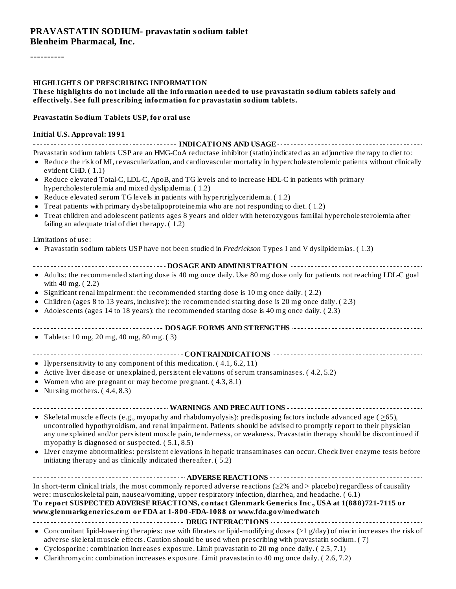#### **PRAVASTATIN SODIUM- pravastatin sodium tablet Blenheim Pharmacal, Inc.**

----------

#### **HIGHLIGHTS OF PRESCRIBING INFORMATION**

#### **These highlights do not include all the information needed to use pravastatin sodium tablets safely and effectively. See full prescribing information for pravastatin sodium tablets.**

#### **Pravastatin Sodium Tablets USP, for oral use**

#### **Initial U.S. Approval: 1991**

**INDICATIONS AND USAGE INDICATIONS AND USAGE** *CONSIDERATIONS* **AND USAGE** *AND* **USAGE** *AND* **USAGE** *AND* Pravastatin sodium tablets USP are an HMG-CoA reductase inhibitor (statin) indicated as an adjunctive therapy to diet to:

- Reduce the risk of MI, revascularization, and cardiovascular mortality in hypercholesterolemic patients without clinically evident CHD. ( 1.1)
- Reduce elevated Total-C, LDL-C, ApoB, and TG levels and to increase HDL-C in patients with primary hypercholesterolemia and mixed dyslipidemia. ( 1.2)
- Reduce elevated serum TG levels in patients with hypertriglyceridemia. ( 1.2)
- Treat patients with primary dysbetalipoproteinemia who are not responding to diet. ( 1.2)
- Treat children and adolescent patients ages 8 years and older with heterozygous familial hypercholesterolemia after failing an adequate trial of diet therapy. ( 1.2)

#### Limitations of use:

- Pravastatin sodium tablets USP have not been studied in *Fredrickson* Types I and V dyslipidemias. ( 1.3)
- **DOSAGE AND ADMINISTRATION**
- Adults: the recommended starting dose is 40 mg once daily. Use 80 mg dose only for patients not reaching LDL-C goal with 40 mg. ( 2.2)
- $\bullet$  Significant renal impairment: the recommended starting dose is 10 mg once daily. (2.2)
- Children (ages 8 to 13 years, inclusive): the recommended starting dose is 20 mg once daily. ( 2.3)
- Adolescents (ages 14 to 18 years): the recommended starting dose is 40 mg once daily. ( 2.3)  $\bullet$
- **DOSAGE FORMS AND STRENGTHS**
- Tablets: 10 mg, 20 mg, 40 mg, 80 mg. ( 3)
- **CONTRAINDICATIONS**
- Hypersensitivity to any component of this medication.  $(4.1, 6.2, 11)$
- Active liver disease or unexplained, persistent elevations of serum transaminases. ( 4.2, 5.2)
- Women who are pregnant or may become pregnant. ( 4.3, 8.1)
- Nursing mothers.  $(4.4, 8.3)$

#### **WARNINGS AND PRECAUTIONS**

- Skeletal muscle effects (e.g., myopathy and rhabdomyolysis): predisposing factors include advanced age ( $\geq$ 65), uncontrolled hypothyroidism, and renal impairment. Patients should be advised to promptly report to their physician any unexplained and/or persistent muscle pain, tenderness, or weakness. Pravastatin therapy should be discontinued if myopathy is diagnosed or suspected. ( 5.1, 8.5)
- Liver enzyme abnormalities: persistent elevations in hepatic transaminases can occur. Check liver enzyme tests before initiating therapy and as clinically indicated thereafter. ( 5.2)

#### **ADVERSE REACTIONS**

In short-term clinical trials, the most commonly reported adverse reactions (≥2% and > placebo) regardless of causality were: musculoskeletal pain, nausea/vomiting, upper respiratory infection, diarrhea, and headache. ( 6.1) **To report SUSPECTED ADVERSE REACTIONS, contact Glenmark Generics Inc., USA at 1(888)721-7115 or www.glenmarkgenerics.com or FDA at 1-800-FDA-1088 or www.fda.gov/medwatch**

#### **DRUG INTERACTIONS**

- Concomitant lipid-lowering therapies: use with fibrates or lipid-modifying doses (≥1 g/day) of niacin increases the risk of adverse skeletal muscle effects. Caution should be used when prescribing with pravastatin sodium. ( 7)
- Cyclosporine: combination increases exposure. Limit pravastatin to 20 mg once daily. ( 2.5, 7.1)
- Clarithromycin: combination increases exposure. Limit pravastatin to 40 mg once daily. ( 2.6, 7.2)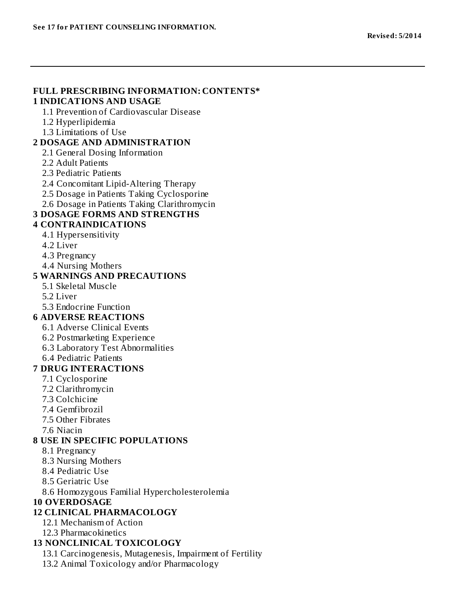#### **FULL PRESCRIBING INFORMATION: CONTENTS\* 1 INDICATIONS AND USAGE**

1.1 Prevention of Cardiovascular Disease

- 1.2 Hyperlipidemia
- 1.3 Limitations of Use

#### **2 DOSAGE AND ADMINISTRATION**

2.1 General Dosing Information

- 2.2 Adult Patients
- 2.3 Pediatric Patients
- 2.4 Concomitant Lipid-Altering Therapy
- 2.5 Dosage in Patients Taking Cyclosporine
- 2.6 Dosage in Patients Taking Clarithromycin

### **3 DOSAGE FORMS AND STRENGTHS**

#### **4 CONTRAINDICATIONS**

- 4.1 Hypersensitivity
- 4.2 Liver
- 4.3 Pregnancy
- 4.4 Nursing Mothers

#### **5 WARNINGS AND PRECAUTIONS**

- 5.1 Skeletal Muscle
- 5.2 Liver
- 5.3 Endocrine Function

### **6 ADVERSE REACTIONS**

- 6.1 Adverse Clinical Events
- 6.2 Postmarketing Experience
- 6.3 Laboratory Test Abnormalities
- 6.4 Pediatric Patients

### **7 DRUG INTERACTIONS**

- 7.1 Cyclosporine
- 7.2 Clarithromycin
- 7.3 Colchicine
- 7.4 Gemfibrozil
- 7.5 Other Fibrates
- 7.6 Niacin

### **8 USE IN SPECIFIC POPULATIONS**

- 8.1 Pregnancy
- 8.3 Nursing Mothers
- 8.4 Pediatric Use
- 8.5 Geriatric Use

8.6 Homozygous Familial Hypercholesterolemia

### **10 OVERDOSAGE**

### **12 CLINICAL PHARMACOLOGY**

- 12.1 Mechanism of Action
- 12.3 Pharmacokinetics

### **13 NONCLINICAL TOXICOLOGY**

- 13.1 Carcinogenesis, Mutagenesis, Impairment of Fertility
- 13.2 Animal Toxicology and/or Pharmacology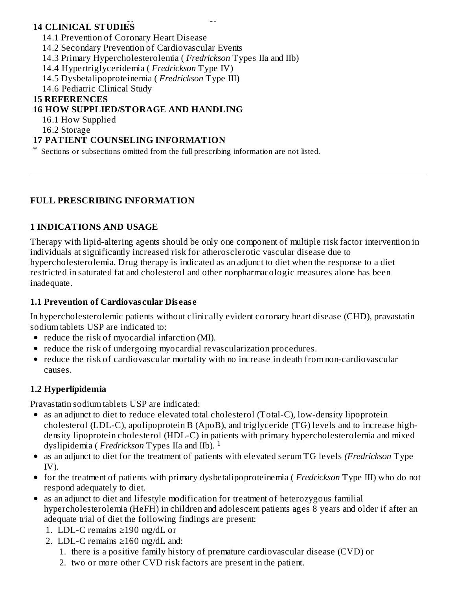#### 13.2 Animal Toxicology and/or Pharmacology **14 CLINICAL STUDIES**

14.1 Prevention of Coronary Heart Disease

14.2 Secondary Prevention of Cardiovascular Events

- 14.3 Primary Hypercholesterolemia ( *Fredrickson* Types IIa and IIb)
- 14.4 Hypertriglyceridemia ( *Fredrickson* Type IV)
- 14.5 Dysbetalipoproteinemia ( *Fredrickson* Type III)

14.6 Pediatric Clinical Study

#### **15 REFERENCES**

### **16 HOW SUPPLIED/STORAGE AND HANDLING**

16.1 How Supplied

16.2 Storage

### **17 PATIENT COUNSELING INFORMATION**

\* Sections or subsections omitted from the full prescribing information are not listed.

### **FULL PRESCRIBING INFORMATION**

### **1 INDICATIONS AND USAGE**

Therapy with lipid-altering agents should be only one component of multiple risk factor intervention in individuals at significantly increased risk for atherosclerotic vascular disease due to hypercholesterolemia. Drug therapy is indicated as an adjunct to diet when the response to a diet restricted in saturated fat and cholesterol and other nonpharmacologic measures alone has been inadequate.

### **1.1 Prevention of Cardiovas cular Dis eas e**

In hypercholesterolemic patients without clinically evident coronary heart disease (CHD), pravastatin sodium tablets USP are indicated to:

- reduce the risk of myocardial infarction (MI).
- reduce the risk of undergoing myocardial revascularization procedures.
- reduce the risk of cardiovascular mortality with no increase in death from non-cardiovascular causes.

### **1.2 Hyperlipidemia**

Pravastatin sodium tablets USP are indicated:

- as an adjunct to diet to reduce elevated total cholesterol (Total-C), low-density lipoprotein cholesterol (LDL-C), apolipoprotein B (ApoB), and triglyceride (TG) levels and to increase highdensity lipoprotein cholesterol (HDL-C) in patients with primary hypercholesterolemia and mixed dyslipidemia ( *Fredrickson* Types IIa and IIb). 1
- as an adjunct to diet for the treatment of patients with elevated serum TG levels *(Fredrickson* Type IV).
- for the treatment of patients with primary dysbetalipoproteinemia ( *Fredrickson* Type III) who do not respond adequately to diet.
- as an adjunct to diet and lifestyle modification for treatment of heterozygous familial hypercholesterolemia (HeFH) in children and adolescent patients ages 8 years and older if after an adequate trial of diet the following findings are present:
	- 1. LDL-C remains ≥190 mg/dL or
	- 2. LDL-C remains ≥160 mg/dL and:
		- 1. there is a positive family history of premature cardiovascular disease (CVD) or
		- 2. two or more other CVD risk factors are present in the patient.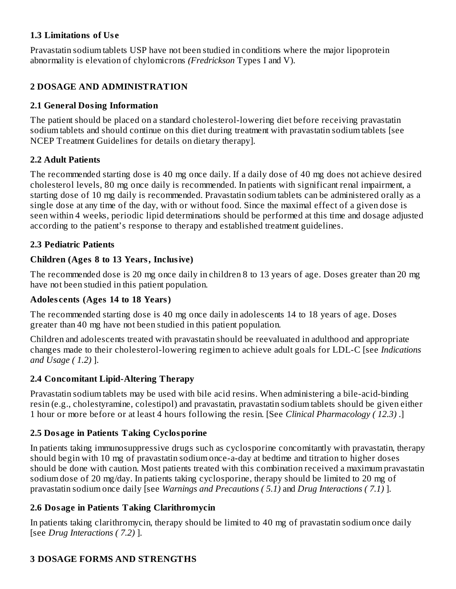### **1.3 Limitations of Us e**

Pravastatin sodium tablets USP have not been studied in conditions where the major lipoprotein abnormality is elevation of chylomicrons *(Fredrickson* Types I and V).

### **2 DOSAGE AND ADMINISTRATION**

### **2.1 General Dosing Information**

The patient should be placed on a standard cholesterol-lowering diet before receiving pravastatin sodium tablets and should continue on this diet during treatment with pravastatin sodium tablets [see NCEP Treatment Guidelines for details on dietary therapy].

#### **2.2 Adult Patients**

The recommended starting dose is 40 mg once daily. If a daily dose of 40 mg does not achieve desired cholesterol levels, 80 mg once daily is recommended. In patients with significant renal impairment, a starting dose of 10 mg daily is recommended. Pravastatin sodium tablets can be administered orally as a single dose at any time of the day, with or without food. Since the maximal effect of a given dose is seen within 4 weeks, periodic lipid determinations should be performed at this time and dosage adjusted according to the patient's response to therapy and established treatment guidelines.

#### **2.3 Pediatric Patients**

### **Children (Ages 8 to 13 Years, Inclusive)**

The recommended dose is 20 mg once daily in children 8 to 13 years of age. Doses greater than 20 mg have not been studied in this patient population.

#### **Adoles cents (Ages 14 to 18 Years)**

The recommended starting dose is 40 mg once daily in adolescents 14 to 18 years of age. Doses greater than 40 mg have not been studied in this patient population.

Children and adolescents treated with pravastatin should be reevaluated in adulthood and appropriate changes made to their cholesterol-lowering regimen to achieve adult goals for LDL-C [see *Indications and Usage ( 1.2)* ].

### **2.4 Concomitant Lipid-Altering Therapy**

Pravastatin sodium tablets may be used with bile acid resins. When administering a bile-acid-binding resin (e.g., cholestyramine, colestipol) and pravastatin, pravastatin sodium tablets should be given either 1 hour or more before or at least 4 hours following the resin. [See *Clinical Pharmacology ( 12.3)* .]

### **2.5 Dosage in Patients Taking Cyclosporine**

In patients taking immunosuppressive drugs such as cyclosporine concomitantly with pravastatin, therapy should begin with 10 mg of pravastatin sodium once-a-day at bedtime and titration to higher doses should be done with caution. Most patients treated with this combination received a maximum pravastatin sodium dose of 20 mg/day. In patients taking cyclosporine, therapy should be limited to 20 mg of pravastatin sodium once daily [see *Warnings and Precautions ( 5.1)* and *Drug Interactions ( 7.1)* ].

### **2.6 Dosage in Patients Taking Clarithromycin**

In patients taking clarithromycin, therapy should be limited to 40 mg of pravastatin sodium once daily [see *Drug Interactions ( 7.2)* ].

### **3 DOSAGE FORMS AND STRENGTHS**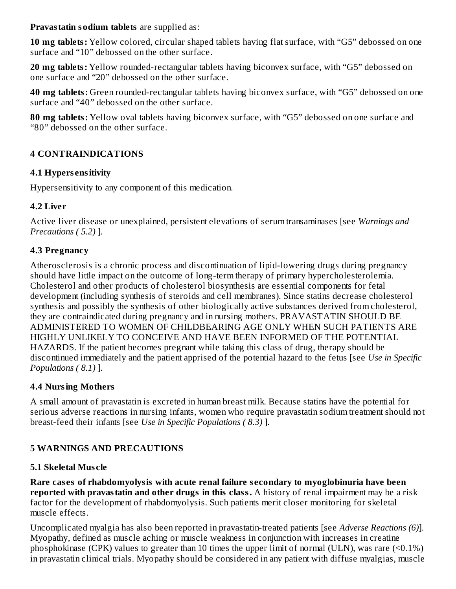**Pravastatin sodium tablets** are supplied as:

**10 mg tablets:** Yellow colored, circular shaped tablets having flat surface, with "G5" debossed on one surface and "10" debossed on the other surface.

**20 mg tablets:** Yellow rounded-rectangular tablets having biconvex surface, with "G5" debossed on one surface and "20" debossed on the other surface.

**40 mg tablets:** Green rounded-rectangular tablets having biconvex surface, with "G5" debossed on one surface and "40" debossed on the other surface.

**80 mg tablets:** Yellow oval tablets having biconvex surface, with "G5" debossed on one surface and "80" debossed on the other surface.

### **4 CONTRAINDICATIONS**

### **4.1 Hypers ensitivity**

Hypersensitivity to any component of this medication.

### **4.2 Liver**

Active liver disease or unexplained, persistent elevations of serum transaminases [see *Warnings and Precautions ( 5.2)* ].

### **4.3 Pregnancy**

Atherosclerosis is a chronic process and discontinuation of lipid-lowering drugs during pregnancy should have little impact on the outcome of long-term therapy of primary hypercholesterolemia. Cholesterol and other products of cholesterol biosynthesis are essential components for fetal development (including synthesis of steroids and cell membranes). Since statins decrease cholesterol synthesis and possibly the synthesis of other biologically active substances derived from cholesterol, they are contraindicated during pregnancy and in nursing mothers. PRAVASTATIN SHOULD BE ADMINISTERED TO WOMEN OF CHILDBEARING AGE ONLY WHEN SUCH PATIENTS ARE HIGHLY UNLIKELY TO CONCEIVE AND HAVE BEEN INFORMED OF THE POTENTIAL HAZARDS. If the patient becomes pregnant while taking this class of drug, therapy should be discontinued immediately and the patient apprised of the potential hazard to the fetus [see *Use in Specific Populations ( 8.1)* ].

## **4.4 Nursing Mothers**

A small amount of pravastatin is excreted in human breast milk. Because statins have the potential for serious adverse reactions in nursing infants, women who require pravastatin sodium treatment should not breast-feed their infants [see *Use in Specific Populations ( 8.3)* ].

## **5 WARNINGS AND PRECAUTIONS**

## **5.1 Skeletal Mus cle**

**Rare cas es of rhabdomyolysis with acute renal failure s econdary to myoglobinuria have been reported with pravastatin and other drugs in this class.** A history of renal impairment may be a risk factor for the development of rhabdomyolysis. Such patients merit closer monitoring for skeletal muscle effects.

Uncomplicated myalgia has also been reported in pravastatin-treated patients [see *Adverse Reactions (6)*]. Myopathy, defined as muscle aching or muscle weakness in conjunction with increases in creatine phosphokinase (CPK) values to greater than 10 times the upper limit of normal (ULN), was rare (<0.1%) in pravastatin clinical trials. Myopathy should be considered in any patient with diffuse myalgias, muscle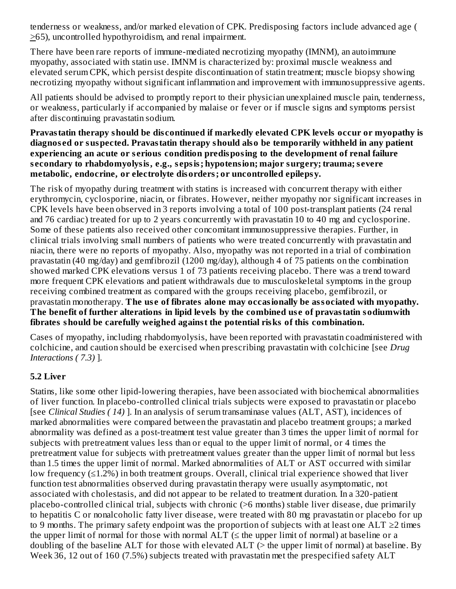tenderness or weakness, and/or marked elevation of CPK. Predisposing factors include advanced age (  $\geq$ 65), uncontrolled hypothyroidism, and renal impairment.

There have been rare reports of immune-mediated necrotizing myopathy (IMNM), an autoimmune myopathy, associated with statin use. IMNM is characterized by: proximal muscle weakness and elevated serum CPK, which persist despite discontinuation of statin treatment; muscle biopsy showing necrotizing myopathy without significant inflammation and improvement with immunosuppressive agents.

All patients should be advised to promptly report to their physician unexplained muscle pain, tenderness, or weakness, particularly if accompanied by malaise or fever or if muscle signs and symptoms persist after discontinuing pravastatin sodium.

**Pravastatin therapy should be dis continued if markedly elevated CPK levels occur or myopathy is diagnos ed or suspected. Pravastatin therapy should also be temporarily withheld in any patient experiencing an acute or s erious condition predisposing to the development of renal failure s econdary to rhabdomyolysis, e.g., s epsis; hypotension; major surgery; trauma;s evere metabolic, endocrine, or electrolyte disorders; or uncontrolled epilepsy.**

The risk of myopathy during treatment with statins is increased with concurrent therapy with either erythromycin, cyclosporine, niacin, or fibrates. However, neither myopathy nor significant increases in CPK levels have been observed in 3 reports involving a total of 100 post-transplant patients (24 renal and 76 cardiac) treated for up to 2 years concurrently with pravastatin 10 to 40 mg and cyclosporine. Some of these patients also received other concomitant immunosuppressive therapies. Further, in clinical trials involving small numbers of patients who were treated concurrently with pravastatin and niacin, there were no reports of myopathy. Also, myopathy was not reported in a trial of combination pravastatin (40 mg/day) and gemfibrozil (1200 mg/day), although 4 of 75 patients on the combination showed marked CPK elevations versus 1 of 73 patients receiving placebo. There was a trend toward more frequent CPK elevations and patient withdrawals due to musculoskeletal symptoms in the group receiving combined treatment as compared with the groups receiving placebo, gemfibrozil, or pravastatin monotherapy. **The us e of fibrates alone may occasionally be associated with myopathy. The benefit of further alterations in lipid levels by the combined us e of pravastatin sodiumwith fibrates should be carefully weighed against the potential risks of this combination.**

Cases of myopathy, including rhabdomyolysis, have been reported with pravastatin coadministered with colchicine, and caution should be exercised when prescribing pravastatin with colchicine [see *Drug Interactions ( 7.3)* ].

### **5.2 Liver**

Statins, like some other lipid-lowering therapies, have been associated with biochemical abnormalities of liver function. In placebo-controlled clinical trials subjects were exposed to pravastatin or placebo [see *Clinical Studies ( 14)* ]. In an analysis of serum transaminase values (ALT, AST), incidences of marked abnormalities were compared between the pravastatin and placebo treatment groups; a marked abnormality was defined as a post-treatment test value greater than 3 times the upper limit of normal for subjects with pretreatment values less than or equal to the upper limit of normal, or 4 times the pretreatment value for subjects with pretreatment values greater than the upper limit of normal but less than 1.5 times the upper limit of normal. Marked abnormalities of ALT or AST occurred with similar low frequency (≤1.2%) in both treatment groups. Overall, clinical trial experience showed that liver function test abnormalities observed during pravastatin therapy were usually asymptomatic, not associated with cholestasis, and did not appear to be related to treatment duration. In a 320-patient placebo-controlled clinical trial, subjects with chronic (>6 months) stable liver disease, due primarily to hepatitis C or nonalcoholic fatty liver disease, were treated with 80 mg pravastatin or placebo for up to 9 months. The primary safety endpoint was the proportion of subjects with at least one ALT  $\geq$ 2 times the upper limit of normal for those with normal  $ALT \leq$  the upper limit of normal) at baseline or a doubling of the baseline ALT for those with elevated ALT ( $>$  the upper limit of normal) at baseline. By Week 36, 12 out of 160 (7.5%) subjects treated with pravastatin met the prespecified safety ALT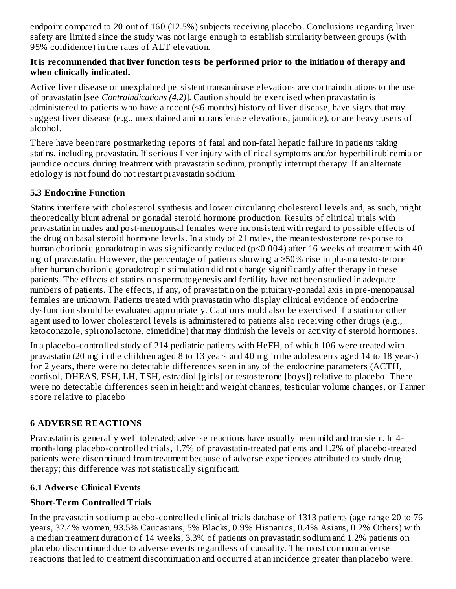endpoint compared to 20 out of 160 (12.5%) subjects receiving placebo. Conclusions regarding liver safety are limited since the study was not large enough to establish similarity between groups (with 95% confidence) in the rates of ALT elevation.

#### **It is recommended that liver function tests be performed prior to the initiation of therapy and when clinically indicated.**

Active liver disease or unexplained persistent transaminase elevations are contraindications to the use of pravastatin [see *Contraindications (4.2)*]. Caution should be exercised when pravastatin is administered to patients who have a recent (<6 months) history of liver disease, have signs that may suggest liver disease (e.g., unexplained aminotransferase elevations, jaundice), or are heavy users of alcohol.

There have been rare postmarketing reports of fatal and non-fatal hepatic failure in patients taking statins, including pravastatin. If serious liver injury with clinical symptoms and/or hyperbilirubinemia or jaundice occurs during treatment with pravastatin sodium, promptly interrupt therapy. If an alternate etiology is not found do not restart pravastatin sodium.

### **5.3 Endocrine Function**

Statins interfere with cholesterol synthesis and lower circulating cholesterol levels and, as such, might theoretically blunt adrenal or gonadal steroid hormone production. Results of clinical trials with pravastatin in males and post-menopausal females were inconsistent with regard to possible effects of the drug on basal steroid hormone levels. In a study of 21 males, the mean testosterone response to human chorionic gonadotropin was significantly reduced (p<0.004) after 16 weeks of treatment with 40 mg of pravastatin. However, the percentage of patients showing a ≥50% rise in plasma testosterone after human chorionic gonadotropin stimulation did not change significantly after therapy in these patients. The effects of statins on spermatogenesis and fertility have not been studied in adequate numbers of patients. The effects, if any, of pravastatin on the pituitary-gonadal axis in pre-menopausal females are unknown. Patients treated with pravastatin who display clinical evidence of endocrine dysfunction should be evaluated appropriately. Caution should also be exercised if a statin or other agent used to lower cholesterol levels is administered to patients also receiving other drugs (e.g., ketoconazole, spironolactone, cimetidine) that may diminish the levels or activity of steroid hormones.

In a placebo-controlled study of 214 pediatric patients with HeFH, of which 106 were treated with pravastatin (20 mg in the children aged 8 to 13 years and 40 mg in the adolescents aged 14 to 18 years) for 2 years, there were no detectable differences seen in any of the endocrine parameters (ACTH, cortisol, DHEAS, FSH, LH, TSH, estradiol [girls] or testosterone [boys]) relative to placebo. There were no detectable differences seen in height and weight changes, testicular volume changes, or Tanner score relative to placebo

### **6 ADVERSE REACTIONS**

Pravastatin is generally well tolerated; adverse reactions have usually been mild and transient. In 4 month-long placebo-controlled trials, 1.7% of pravastatin-treated patients and 1.2% of placebo-treated patients were discontinued from treatment because of adverse experiences attributed to study drug therapy; this difference was not statistically significant.

### **6.1 Advers e Clinical Events**

### **Short-Term Controlled Trials**

In the pravastatin sodium placebo-controlled clinical trials database of 1313 patients (age range 20 to 76 years, 32.4% women, 93.5% Caucasians, 5% Blacks, 0.9% Hispanics, 0.4% Asians, 0.2% Others) with a median treatment duration of 14 weeks, 3.3% of patients on pravastatin sodium and 1.2% patients on placebo discontinued due to adverse events regardless of causality. The most common adverse reactions that led to treatment discontinuation and occurred at an incidence greater than placebo were: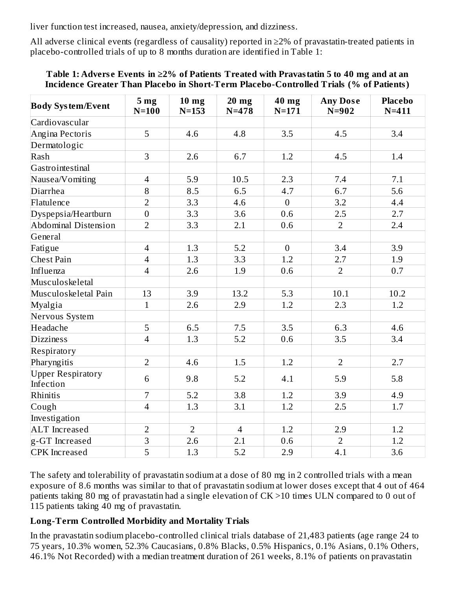liver function test increased, nausea, anxiety/depression, and dizziness.

All adverse clinical events (regardless of causality) reported in ≥2% of pravastatin-treated patients in placebo-controlled trials of up to 8 months duration are identified in Table 1:

#### **Table 1: Advers e Events in ≥2% of Patients Treated with Pravastatin 5 to 40 mg and at an Incidence Greater Than Placebo in Short-Term Placebo-Controlled Trials (% of Patients)**

| <b>Body System/Event</b>              | 5 mg<br>$N=100$ | 10 <sub>mg</sub><br>$N = 153$ | $20$ mg<br>$N = 478$ | 40 mg<br>$N = 171$ | <b>Any Dose</b><br>$N=902$ | <b>Placebo</b><br>$N = 411$ |
|---------------------------------------|-----------------|-------------------------------|----------------------|--------------------|----------------------------|-----------------------------|
| Cardiovascular                        |                 |                               |                      |                    |                            |                             |
| Angina Pectoris                       | 5               | 4.6                           | 4.8                  | 3.5                | 4.5                        | 3.4                         |
| Dermatologic                          |                 |                               |                      |                    |                            |                             |
| Rash                                  | 3               | 2.6                           | 6.7                  | 1.2                | 4.5                        | 1.4                         |
| Gastrointestinal                      |                 |                               |                      |                    |                            |                             |
| Nausea/Vomiting                       | $\overline{4}$  | 5.9                           | 10.5                 | 2.3                | 7.4                        | 7.1                         |
| Diarrhea                              | 8               | 8.5                           | 6.5                  | 4.7                | 6.7                        | 5.6                         |
| Flatulence                            | $\overline{2}$  | 3.3                           | 4.6                  | $\boldsymbol{0}$   | 3.2                        | 4.4                         |
| Dyspepsia/Heartburn                   | $\mathbf{0}$    | 3.3                           | 3.6                  | 0.6                | 2.5                        | 2.7                         |
| <b>Abdominal Distension</b>           | $\overline{2}$  | 3.3                           | 2.1                  | $0.6\,$            | $\overline{2}$             | 2.4                         |
| General                               |                 |                               |                      |                    |                            |                             |
| Fatigue                               | $\overline{4}$  | 1.3                           | 5.2                  | $\overline{0}$     | 3.4                        | 3.9                         |
| <b>Chest Pain</b>                     | $\overline{4}$  | 1.3                           | 3.3                  | 1.2                | 2.7                        | 1.9                         |
| Influenza                             | $\overline{4}$  | 2.6                           | 1.9                  | 0.6                | $\overline{2}$             | 0.7                         |
| Musculoskeletal                       |                 |                               |                      |                    |                            |                             |
| Musculoskeletal Pain                  | 13              | 3.9                           | 13.2                 | 5.3                | 10.1                       | 10.2                        |
| Myalgia                               | $\mathbf{1}$    | 2.6                           | 2.9                  | 1.2                | 2.3                        | 1.2                         |
| Nervous System                        |                 |                               |                      |                    |                            |                             |
| Headache                              | 5               | 6.5                           | 7.5                  | 3.5                | 6.3                        | 4.6                         |
| <b>Dizziness</b>                      | $\overline{4}$  | 1.3                           | 5.2                  | 0.6                | 3.5                        | 3.4                         |
| Respiratory                           |                 |                               |                      |                    |                            |                             |
| Pharyngitis                           | $\overline{2}$  | 4.6                           | 1.5                  | 1.2                | $\overline{2}$             | 2.7                         |
| <b>Upper Respiratory</b><br>Infection | 6               | 9.8                           | 5.2                  | 4.1                | 5.9                        | 5.8                         |
| Rhinitis                              | $\overline{7}$  | 5.2                           | 3.8                  | 1.2                | 3.9                        | 4.9                         |
| Cough                                 | $\overline{4}$  | 1.3                           | 3.1                  | 1.2                | 2.5                        | 1.7                         |
| Investigation                         |                 |                               |                      |                    |                            |                             |
| <b>ALT</b> Increased                  | $\overline{2}$  | $\overline{2}$                | $\overline{4}$       | 1.2                | 2.9                        | 1.2                         |
| g-GT Increased                        | $\overline{3}$  | 2.6                           | 2.1                  | 0.6                | $\overline{2}$             | 1.2                         |
| <b>CPK</b> Increased                  | $\overline{5}$  | 1.3                           | 5.2                  | 2.9                | 4.1                        | 3.6                         |

The safety and tolerability of pravastatin sodium at a dose of 80 mg in 2 controlled trials with a mean exposure of 8.6 months was similar to that of pravastatin sodium at lower doses except that 4 out of 464 patients taking 80 mg of pravastatin had a single elevation of CK >10 times ULN compared to 0 out of 115 patients taking 40 mg of pravastatin.

### **Long-Term Controlled Morbidity and Mortality Trials**

In the pravastatin sodium placebo-controlled clinical trials database of 21,483 patients (age range 24 to 75 years, 10.3% women, 52.3% Caucasians, 0.8% Blacks, 0.5% Hispanics, 0.1% Asians, 0.1% Others, 46.1% Not Recorded) with a median treatment duration of 261 weeks, 8.1% of patients on pravastatin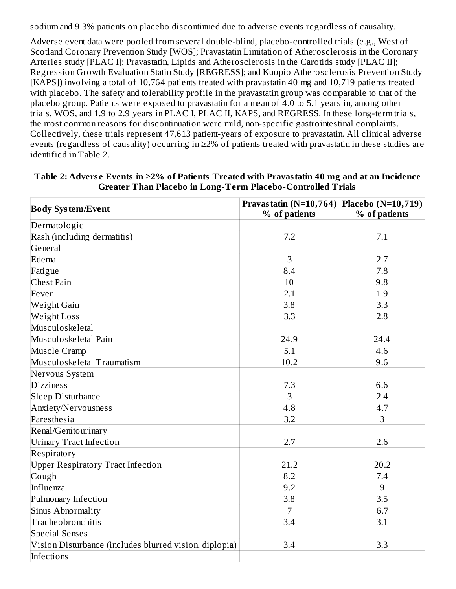sodium and 9.3% patients on placebo discontinued due to adverse events regardless of causality.

Adverse event data were pooled from several double-blind, placebo-controlled trials (e.g., West of Scotland Coronary Prevention Study [WOS]; Pravastatin Limitation of Atherosclerosis in the Coronary Arteries study [PLAC I]; Pravastatin, Lipids and Atherosclerosis in the Carotids study [PLAC II]; Regression Growth Evaluation Statin Study [REGRESS]; and Kuopio Atherosclerosis Prevention Study [KAPS]) involving a total of 10,764 patients treated with pravastatin 40 mg and 10,719 patients treated with placebo. The safety and tolerability profile in the pravastatin group was comparable to that of the placebo group. Patients were exposed to pravastatin for a mean of 4.0 to 5.1 years in, among other trials, WOS, and 1.9 to 2.9 years in PLAC I, PLAC II, KAPS, and REGRESS. In these long-term trials, the most common reasons for discontinuation were mild, non-specific gastrointestinal complaints. Collectively, these trials represent 47,613 patient-years of exposure to pravastatin. All clinical adverse events (regardless of causality) occurring in ≥2% of patients treated with pravastatin in these studies are identified in Table 2.

| <b>Body System/Event</b>                               | Pravastatin (N=10,764) | <b>Placebo</b> (N=10,719) |  |
|--------------------------------------------------------|------------------------|---------------------------|--|
|                                                        | % of patients          | % of patients             |  |
| Dermatologic                                           |                        |                           |  |
| Rash (including dermatitis)                            | 7.2                    | 7.1                       |  |
| General                                                |                        |                           |  |
| Edema                                                  | 3                      | 2.7                       |  |
| Fatigue                                                | 8.4                    | 7.8                       |  |
| Chest Pain                                             | 10                     | 9.8                       |  |
| Fever                                                  | 2.1                    | 1.9                       |  |
| Weight Gain                                            | 3.8                    | 3.3                       |  |
| <b>Weight Loss</b>                                     | 3.3                    | 2.8                       |  |
| Musculoskeletal                                        |                        |                           |  |
| Musculoskeletal Pain                                   | 24.9                   | 24.4                      |  |
| Muscle Cramp                                           | 5.1                    | 4.6                       |  |
| Musculoskeletal Traumatism                             | 10.2                   | 9.6                       |  |
| Nervous System                                         |                        |                           |  |
| <b>Dizziness</b>                                       | 7.3                    | 6.6                       |  |
| Sleep Disturbance                                      | 3                      | 2.4                       |  |
| Anxiety/Nervousness                                    | 4.8                    | 4.7                       |  |
| Paresthesia                                            | 3.2                    | 3                         |  |
| Renal/Genitourinary                                    |                        |                           |  |
| <b>Urinary Tract Infection</b>                         | 2.7                    | 2.6                       |  |
| Respiratory                                            |                        |                           |  |
| <b>Upper Respiratory Tract Infection</b>               | 21.2                   | 20.2                      |  |
| Cough                                                  | 8.2                    | 7.4                       |  |
| Influenza                                              | 9.2                    | 9                         |  |
| Pulmonary Infection                                    | 3.8                    | 3.5                       |  |
| Sinus Abnormality                                      | $\overline{7}$         | 6.7                       |  |
| Tracheobronchitis                                      | 3.4                    | 3.1                       |  |
| <b>Special Senses</b>                                  |                        |                           |  |
| Vision Disturbance (includes blurred vision, diplopia) | 3.4                    | 3.3                       |  |
| Infections                                             |                        |                           |  |

**Table 2: Advers e Events in ≥2% of Patients Treated with Pravastatin 40 mg and at an Incidence Greater Than Placebo in Long-Term Placebo-Controlled Trials**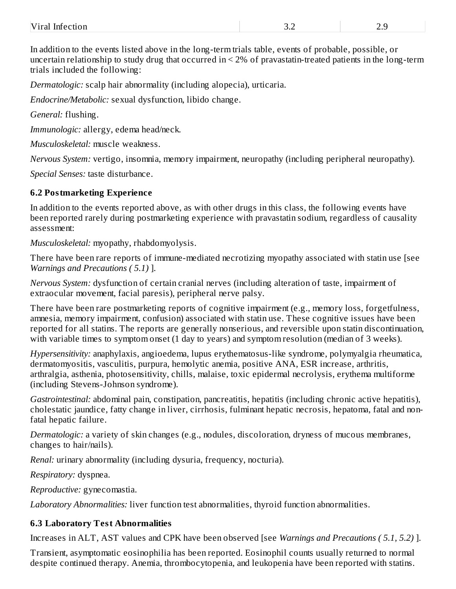| $\mathbf{r}$<br>v<br>- Infer<br>וראו<br>паг<br>nu nuccuon | ◡.← | - - - -<br>$- \cdot -$ |
|-----------------------------------------------------------|-----|------------------------|
|                                                           |     |                        |

In addition to the events listed above in the long-term trials table, events of probable, possible, or uncertain relationship to study drug that occurred in < 2% of pravastatin-treated patients in the long-term trials included the following:

*Dermatologic:* scalp hair abnormality (including alopecia), urticaria.

*Endocrine/Metabolic:* sexual dysfunction, libido change.

*General:* flushing.

*Immunologic:* allergy, edema head/neck.

*Musculoskeletal:* muscle weakness.

*Nervous System:* vertigo, insomnia, memory impairment, neuropathy (including peripheral neuropathy).

*Special Senses:* taste disturbance.

### **6.2 Postmarketing Experience**

In addition to the events reported above, as with other drugs in this class, the following events have been reported rarely during postmarketing experience with pravastatin sodium, regardless of causality assessment:

*Musculoskeletal:* myopathy, rhabdomyolysis.

There have been rare reports of immune-mediated necrotizing myopathy associated with statin use [see *Warnings and Precautions ( 5.1)* ].

*Nervous System:* dysfunction of certain cranial nerves (including alteration of taste, impairment of extraocular movement, facial paresis), peripheral nerve palsy.

There have been rare postmarketing reports of cognitive impairment (e.g., memory loss, forgetfulness, amnesia, memory impairment, confusion) associated with statin use. These cognitive issues have been reported for all statins. The reports are generally nonserious, and reversible upon statin discontinuation, with variable times to symptom onset (1 day to years) and symptom resolution (median of 3 weeks).

*Hypersensitivity:* anaphylaxis, angioedema, lupus erythematosus-like syndrome, polymyalgia rheumatica, dermatomyositis, vasculitis, purpura, hemolytic anemia, positive ANA, ESR increase, arthritis, arthralgia, asthenia, photosensitivity, chills, malaise, toxic epidermal necrolysis, erythema multiforme (including Stevens-Johnson syndrome).

*Gastrointestinal:* abdominal pain, constipation, pancreatitis, hepatitis (including chronic active hepatitis), cholestatic jaundice, fatty change in liver, cirrhosis, fulminant hepatic necrosis, hepatoma, fatal and nonfatal hepatic failure.

*Dermatologic:* a variety of skin changes (e.g., nodules, discoloration, dryness of mucous membranes, changes to hair/nails).

*Renal:* urinary abnormality (including dysuria, frequency, nocturia).

*Respiratory:* dyspnea.

*Reproductive:* gynecomastia.

*Laboratory Abnormalities:* liver function test abnormalities, thyroid function abnormalities.

### **6.3 Laboratory Test Abnormalities**

Increases in ALT, AST values and CPK have been observed [see *Warnings and Precautions ( 5.1, 5.2)* ].

Transient, asymptomatic eosinophilia has been reported. Eosinophil counts usually returned to normal despite continued therapy. Anemia, thrombocytopenia, and leukopenia have been reported with statins.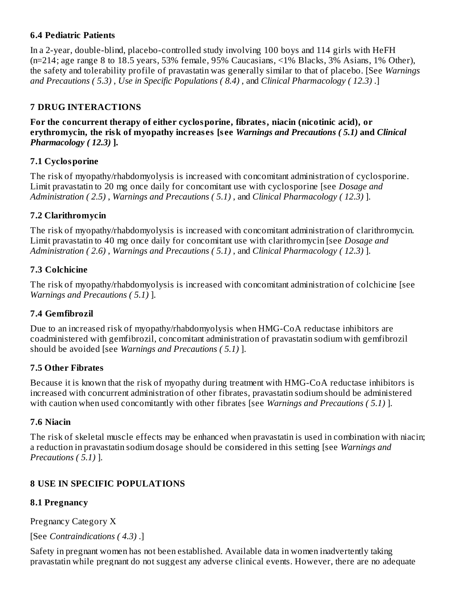### **6.4 Pediatric Patients**

In a 2-year, double-blind, placebo-controlled study involving 100 boys and 114 girls with HeFH (n=214; age range 8 to 18.5 years, 53% female, 95% Caucasians, <1% Blacks, 3% Asians, 1% Other), the safety and tolerability profile of pravastatin was generally similar to that of placebo. [See *Warnings and Precautions ( 5.3)* , *Use in Specific Populations ( 8.4)* , and *Clinical Pharmacology ( 12.3)* .]

### **7 DRUG INTERACTIONS**

**For the concurrent therapy of either cyclosporine, fibrates, niacin (nicotinic acid), or erythromycin, the risk of myopathy increas es [s ee** *Warnings and Precautions ( 5.1)* **and** *Clinical Pharmacology ( 12.3)* **].**

### **7.1 Cyclosporine**

The risk of myopathy/rhabdomyolysis is increased with concomitant administration of cyclosporine. Limit pravastatin to 20 mg once daily for concomitant use with cyclosporine [see *Dosage and Administration ( 2.5)* , *Warnings and Precautions ( 5.1)* , and *Clinical Pharmacology ( 12.3)* ].

### **7.2 Clarithromycin**

The risk of myopathy/rhabdomyolysis is increased with concomitant administration of clarithromycin. Limit pravastatin to 40 mg once daily for concomitant use with clarithromycin [see *Dosage and Administration ( 2.6)* , *Warnings and Precautions ( 5.1)* , and *Clinical Pharmacology ( 12.3)* ].

### **7.3 Colchicine**

The risk of myopathy/rhabdomyolysis is increased with concomitant administration of colchicine [see *Warnings and Precautions ( 5.1)* ].

## **7.4 Gemfibrozil**

Due to an increased risk of myopathy/rhabdomyolysis when HMG-CoA reductase inhibitors are coadministered with gemfibrozil, concomitant administration of pravastatin sodium with gemfibrozil should be avoided [see *Warnings and Precautions ( 5.1)* ].

### **7.5 Other Fibrates**

Because it is known that the risk of myopathy during treatment with HMG-CoA reductase inhibitors is increased with concurrent administration of other fibrates, pravastatin sodium should be administered with caution when used concomitantly with other fibrates [see *Warnings and Precautions ( 5.1)* ].

### **7.6 Niacin**

The risk of skeletal muscle effects may be enhanced when pravastatin is used in combination with niacin; a reduction in pravastatin sodium dosage should be considered in this setting [see *Warnings and Precautions ( 5.1)* ].

## **8 USE IN SPECIFIC POPULATIONS**

### **8.1 Pregnancy**

Pregnancy Category X

[See *Contraindications ( 4.3)* .]

Safety in pregnant women has not been established. Available data in women inadvertently taking pravastatin while pregnant do not suggest any adverse clinical events. However, there are no adequate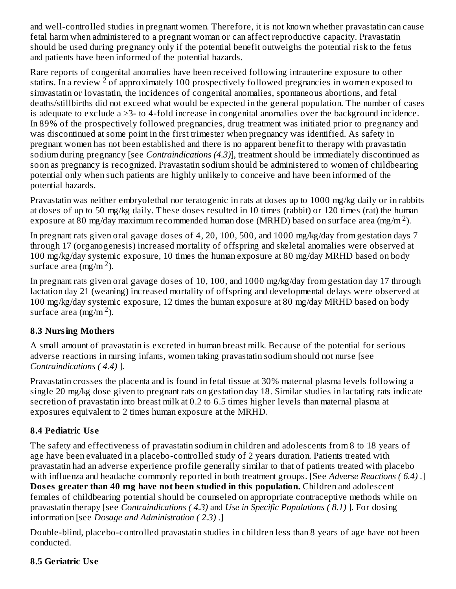and well-controlled studies in pregnant women. Therefore, it is not known whether pravastatin can cause fetal harm when administered to a pregnant woman or can affect reproductive capacity. Pravastatin should be used during pregnancy only if the potential benefit outweighs the potential risk to the fetus and patients have been informed of the potential hazards.

Rare reports of congenital anomalies have been received following intrauterine exposure to other statins. In a review  $2$  of approximately 100 prospectively followed pregnancies in women exposed to simvastatin or lovastatin, the incidences of congenital anomalies, spontaneous abortions, and fetal deaths/stillbirths did not exceed what would be expected in the general population. The number of cases is adequate to exclude a ≥3- to 4-fold increase in congenital anomalies over the background incidence. In 89% of the prospectively followed pregnancies, drug treatment was initiated prior to pregnancy and was discontinued at some point in the first trimester when pregnancy was identified. As safety in pregnant women has not been established and there is no apparent benefit to therapy with pravastatin sodium during pregnancy [see *Contraindications (4.3)*], treatment should be immediately discontinued as soon as pregnancy is recognized. Pravastatin sodium should be administered to women of childbearing potential only when such patients are highly unlikely to conceive and have been informed of the potential hazards.

Pravastatin was neither embryolethal nor teratogenic in rats at doses up to 1000 mg/kg daily or in rabbits at doses of up to 50 mg/kg daily. These doses resulted in 10 times (rabbit) or 120 times (rat) the human exposure at 80 mg/day maximum recommended human dose (MRHD) based on surface area (mg/m  $^2$ ).

In pregnant rats given oral gavage doses of 4, 20, 100, 500, and 1000 mg/kg/day from gestation days 7 through 17 (organogenesis) increased mortality of offspring and skeletal anomalies were observed at 100 mg/kg/day systemic exposure, 10 times the human exposure at 80 mg/day MRHD based on body surface area  $\left(\frac{mg}{m^2}\right)$ .

In pregnant rats given oral gavage doses of 10, 100, and 1000 mg/kg/day from gestation day 17 through lactation day 21 (weaning) increased mortality of offspring and developmental delays were observed at 100 mg/kg/day systemic exposure, 12 times the human exposure at 80 mg/day MRHD based on body surface area  $\left(\frac{mg}{m^2}\right)$ .

### **8.3 Nursing Mothers**

A small amount of pravastatin is excreted in human breast milk. Because of the potential for serious adverse reactions in nursing infants, women taking pravastatin sodium should not nurse [see *Contraindications ( 4.4)* ].

Pravastatin crosses the placenta and is found in fetal tissue at 30% maternal plasma levels following a single 20 mg/kg dose given to pregnant rats on gestation day 18. Similar studies in lactating rats indicate secretion of pravastatin into breast milk at 0.2 to 6.5 times higher levels than maternal plasma at exposures equivalent to 2 times human exposure at the MRHD.

## **8.4 Pediatric Us e**

The safety and effectiveness of pravastatin sodium in children and adolescents from 8 to 18 years of age have been evaluated in a placebo-controlled study of 2 years duration. Patients treated with pravastatin had an adverse experience profile generally similar to that of patients treated with placebo with influenza and headache commonly reported in both treatment groups. [See *Adverse Reactions ( 6.4)* .] **Dos es greater than 40 mg have not been studied in this population.** Children and adolescent

females of childbearing potential should be counseled on appropriate contraceptive methods while on pravastatin therapy [see *Contraindications ( 4.3)* and *Use in Specific Populations ( 8.1)* ]. For dosing information [see *Dosage and Administration ( 2.3)* .]

Double-blind, placebo-controlled pravastatin studies in children less than 8 years of age have not been conducted.

### **8.5 Geriatric Us e**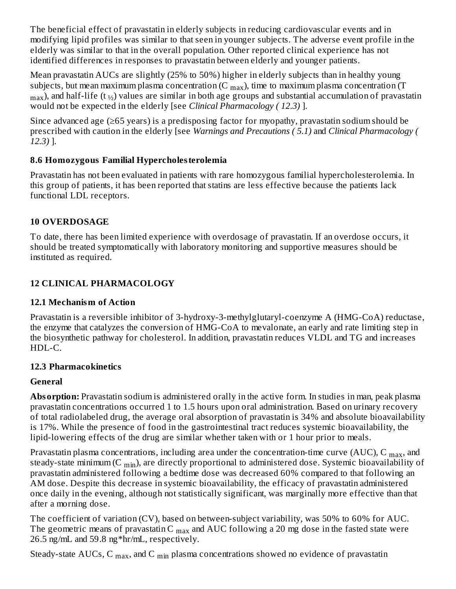The beneficial effect of pravastatin in elderly subjects in reducing cardiovascular events and in modifying lipid profiles was similar to that seen in younger subjects. The adverse event profile in the elderly was similar to that in the overall population. Other reported clinical experience has not identified differences in responses to pravastatin between elderly and younger patients.

Mean pravastatin AUCs are slightly (25% to 50%) higher in elderly subjects than in healthy young subjects, but mean maximum plasma concentration (C  $_{\rm max}$ ), time to maximum plasma concentration (T  $_{\rm max}$ ), and half-life (t  $_{\rm 1/_{\rm 2}}$ ) values are similar in both age groups and substantial accumulation of pravastatin would not be expected in the elderly [see *Clinical Pharmacology ( 12.3)* ].

Since advanced age (≥65 years) is a predisposing factor for myopathy, pravastatin sodium should be prescribed with caution in the elderly [see *Warnings and Precautions ( 5.1)* and *Clinical Pharmacology ( 12.3)* ].

### **8.6 Homozygous Familial Hypercholesterolemia**

Pravastatin has not been evaluated in patients with rare homozygous familial hypercholesterolemia. In this group of patients, it has been reported that statins are less effective because the patients lack functional LDL receptors.

### **10 OVERDOSAGE**

To date, there has been limited experience with overdosage of pravastatin. If an overdose occurs, it should be treated symptomatically with laboratory monitoring and supportive measures should be instituted as required.

## **12 CLINICAL PHARMACOLOGY**

### **12.1 Mechanism of Action**

Pravastatin is a reversible inhibitor of 3-hydroxy-3-methylglutaryl-coenzyme A (HMG-CoA) reductase, the enzyme that catalyzes the conversion of HMG-CoA to mevalonate, an early and rate limiting step in the biosynthetic pathway for cholesterol. In addition, pravastatin reduces VLDL and TG and increases HDL-C.

### **12.3 Pharmacokinetics**

## **General**

**Absorption:** Pravastatin sodium is administered orally in the active form. In studies in man, peak plasma pravastatin concentrations occurred 1 to 1.5 hours upon oral administration. Based on urinary recovery of total radiolabeled drug, the average oral absorption of pravastatin is 34% and absolute bioavailability is 17%. While the presence of food in the gastrointestinal tract reduces systemic bioavailability, the lipid-lowering effects of the drug are similar whether taken with or 1 hour prior to meals.

Pravastatin plasma concentrations, including area under the concentration-time curve (AUC), C  $_{\rm max}$ , and steady-state minimum (C  $_{\rm min}$ ), are directly proportional to administered dose. Systemic bioavailability of pravastatin administered following a bedtime dose was decreased 60% compared to that following an AM dose. Despite this decrease in systemic bioavailability, the efficacy of pravastatin administered once daily in the evening, although not statistically significant, was marginally more effective than that after a morning dose.

The coefficient of variation (CV), based on between-subject variability, was 50% to 60% for AUC. The geometric means of pravastatin C  $_{\rm max}$  and AUC following a 20 mg dose in the fasted state were 26.5 ng/mL and 59.8 ng\*hr/mL, respectively.

Steady-state AUCs, C  $_{\rm max}$ , and C  $_{\rm min}$  plasma concentrations showed no evidence of pravastatin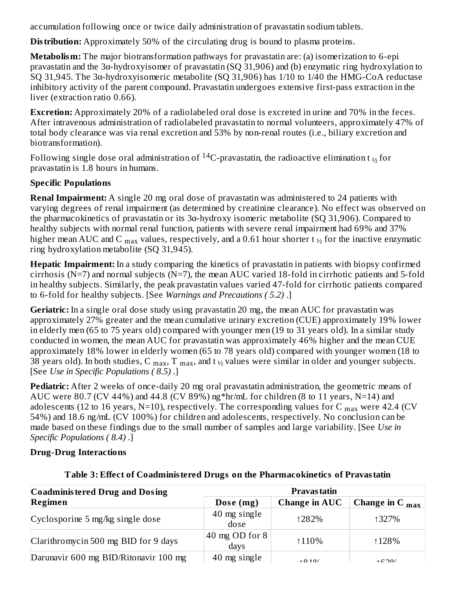accumulation following once or twice daily administration of pravastatin sodium tablets. max ministers and

**Distribution:** Approximately 50% of the circulating drug is bound to plasma proteins.

**Metabolism:** The major biotransformation pathways for pravastatin are: (a) isomerization to 6-epi pravastatin and the 3α-hydroxyisomer of pravastatin (SQ 31,906) and (b) enzymatic ring hydroxylation to SQ 31,945. The 3α-hydroxyisomeric metabolite (SQ 31,906) has 1/10 to 1/40 the HMG-CoA reductase inhibitory activity of the parent compound. Pravastatin undergoes extensive first-pass extraction in the liver (extraction ratio 0.66).

**Excretion:** Approximately 20% of a radiolabeled oral dose is excreted in urine and 70% in the feces. After intravenous administration of radiolabeled pravastatin to normal volunteers, approximately 47% of total body clearance was via renal excretion and 53% by non-renal routes (i.e., biliary excretion and biotransformation).

Following single dose oral administration of  $\rm ^{14}C$ -pravastatin, the radioactive elimination t  $_{\nu_2}$  for pravastatin is 1.8 hours in humans.

### **Specific Populations**

**Renal Impairment:** A single 20 mg oral dose of pravastatin was administered to 24 patients with varying degrees of renal impairment (as determined by creatinine clearance). No effect was observed on the pharmacokinetics of pravastatin or its 3α-hydroxy isomeric metabolite (SQ 31,906). Compared to healthy subjects with normal renal function, patients with severe renal impairment had 69% and 37% higher mean AUC and C  $_{\rm max}$  values, respectively, and a 0.61 hour shorter t  $_{\rm 1\%}$  for the inactive enzymatic ring hydroxylation metabolite (SQ 31,945).

**Hepatic Impairment:** In a study comparing the kinetics of pravastatin in patients with biopsy confirmed cirrhosis ( $N=7$ ) and normal subjects ( $N=7$ ), the mean AUC varied 18-fold in cirrhotic patients and 5-fold in healthy subjects. Similarly, the peak pravastatin values varied 47-fold for cirrhotic patients compared to 6-fold for healthy subjects. [See *Warnings and Precautions ( 5.2)* .]

**Geriatric:** In a single oral dose study using pravastatin 20 mg, the mean AUC for pravastatin was approximately 27% greater and the mean cumulative urinary excretion (CUE) approximately 19% lower in elderly men (65 to 75 years old) compared with younger men (19 to 31 years old). In a similar study conducted in women, the mean AUC for pravastatin was approximately 46% higher and the mean CUE approximately 18% lower in elderly women (65 to 78 years old) compared with younger women (18 to 38 years old). In both studies, C  $_{\rm max}$ , T  $_{\rm max}$ , and t  $_{\rm ½}$  values were similar in older and younger subjects. [See *Use in Specific Populations ( 8.5)* .]

**Pediatric:** After 2 weeks of once-daily 20 mg oral pravastatin administration, the geometric means of AUC were 80.7 (CV 44%) and 44.8 (CV 89%) ng\*hr/mL for children (8 to 11 years, N=14) and adolescents (12 to 16 years, N=10), respectively. The corresponding values for C  $_{\rm max}$  were 42.4 (CV 54%) and 18.6 ng/mL (CV 100%) for children and adolescents, respectively. No conclusion can be made based on these findings due to the small number of samples and large variability. [See *Use in Specific Populations ( 8.4)* .]

### **Drug-Drug Interactions**

| <b>Coadministered Drug and Dosing</b> | Pravas tatin              |                      |                             |  |
|---------------------------------------|---------------------------|----------------------|-----------------------------|--|
| Regimen                               | Dose (mg)                 | <b>Change in AUC</b> | Change in C $_{\text{max}}$ |  |
| Cyclosporine 5 mg/kg single dose      | 40 mg single<br>dose      | 1282%                | 1327%                       |  |
| Clarithromycin 500 mg BID for 9 days  | 40 mg OD for $81$<br>days | 110\%                | 128%                        |  |
| Darunavir 600 mg BID/Ritonavir 100 mg | 40 mg single              | $*010/$              | $\triangle C$ 20/           |  |

### **Table 3: Effect of Coadministered Drugs on the Pharmacokinetics of Pravastatin**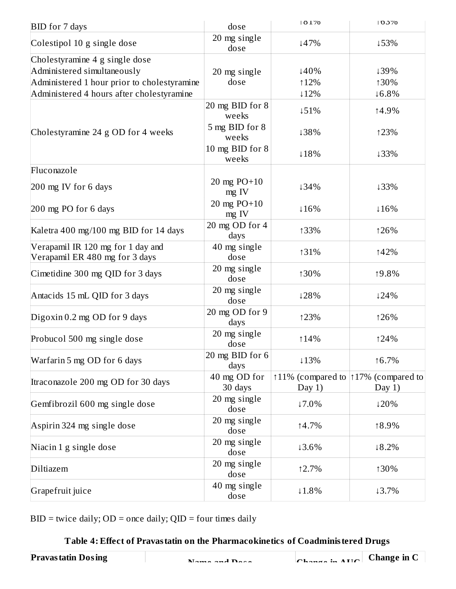| <b>BID</b> for 7 days                                                                                                                                     | dose                             | $ 01\%$                                          | 103%                  |
|-----------------------------------------------------------------------------------------------------------------------------------------------------------|----------------------------------|--------------------------------------------------|-----------------------|
| Colestipol 10 g single dose                                                                                                                               | 20 mg single<br>dose             | ↓47%                                             | ↓53%                  |
| Cholestyramine 4 g single dose<br>Administered simultaneously<br>Administered 1 hour prior to cholestyramine<br>Administered 4 hours after cholestyramine | 20 mg single<br>dose             | ↓40%<br><b>12%</b><br>$12\%$                     | ↓39%<br>130%<br>↓6.8% |
|                                                                                                                                                           | 20 mg BID for 8                  | ↓51%                                             | 14.9%                 |
| Cholestyramine 24 g OD for 4 weeks                                                                                                                        | weeks<br>5 mg BID for 8<br>weeks | ↓38%                                             | 123%                  |
|                                                                                                                                                           | 10 mg BID for 8<br>weeks         | ↓18%                                             | ↓33%                  |
| Fluconazole                                                                                                                                               |                                  |                                                  |                       |
| 200 mg IV for 6 days                                                                                                                                      | 20 mg $PO+10$<br>mg IV           | ↓34%                                             | ↓33%                  |
| 200 mg PO for 6 days                                                                                                                                      | 20 mg $PO+10$<br>$mg$ IV         | ↓16%                                             | 116%                  |
| Kaletra 400 mg/100 mg BID for 14 days                                                                                                                     | 20 mg OD for 4<br>days           | 133%                                             | 126%                  |
| Verapamil IR 120 mg for 1 day and<br>Verapamil ER 480 mg for 3 days                                                                                       | 40 mg single<br>dose             | 131%                                             | 142%                  |
| Cimetidine 300 mg QID for 3 days                                                                                                                          | 20 mg single<br>dose             | 130%                                             | 19.8%                 |
| Antacids 15 mL QID for 3 days                                                                                                                             | 20 mg single<br>dose             | ↓28%                                             | 124%                  |
| Digoxin $0.2$ mg OD for 9 days                                                                                                                            | 20 mg OD for 9<br>days           | 123%                                             | 126%                  |
| Probucol 500 mg single dose                                                                                                                               | 20 mg single<br>dose             | <b>14%</b>                                       | 124%                  |
| Warfarin 5 mg OD for 6 days                                                                                                                               | 20 mg BID for 6<br>days          | ↓13%                                             | 16.7%                 |
| Itraconazole 200 mg OD for 30 days                                                                                                                        | 40 mg OD for<br>30 days          | ↑11% (compared to  ↑17% (compared to<br>Day $1)$ | Day $1)$              |
| Gemfibrozil 600 mg single dose                                                                                                                            | 20 mg single<br>dose             | ↓7.0%                                            | ↓20%                  |
| Aspirin 324 mg single dose                                                                                                                                | 20 mg single<br>dose             | 14.7%                                            | 18.9%                 |
| Niacin 1 g single dose                                                                                                                                    | 20 mg single<br>dose             | $13.6\%$                                         | $18.2\%$              |
| Diltiazem                                                                                                                                                 | 20 mg single<br>dose             | 12.7%                                            | 130%                  |
| Grapefruit juice                                                                                                                                          | 40 mg single<br>dose             | $11.8\%$                                         | $13.7\%$              |

BID = twice daily; OD = once daily; QID = four times daily

## **Table 4: Effect of Pravastatin on the Pharmacokinetics of Coadministered Drugs**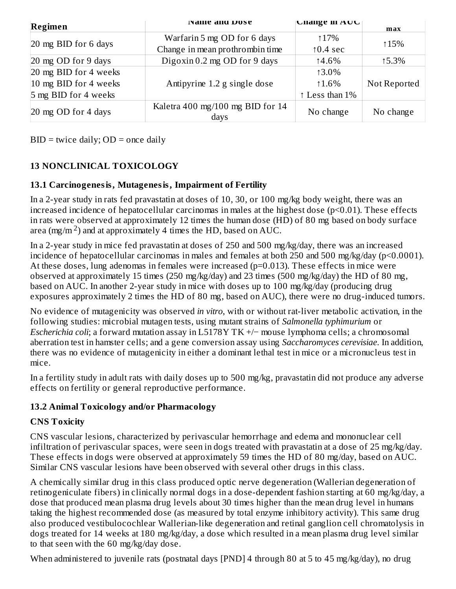| ivanie and <i>D</i> ose<br>Regimen |                                          | UNANGE IN AUU      | max          |
|------------------------------------|------------------------------------------|--------------------|--------------|
|                                    | Warfarin 5 mg OD for 6 days              | ↑17%               |              |
| 20 mg BID for 6 days               | Change in mean prothrombin time          | $\uparrow$ 0.4 sec | ↑15%         |
| $\sqrt{20}$ mg OD for 9 days       | Digoxin $0.2$ mg OD for 9 days           | 14.6%              | 15.3%        |
| 20 mg BID for 4 weeks              |                                          | 13.0%              |              |
| 10 mg BID for 4 weeks              | Antipyrine 1.2 g single dose             | $1.6\%$            | Not Reported |
| 5 mg BID for 4 weeks               |                                          | ↑ Less than 1%     |              |
| $\sqrt{20}$ mg OD for 4 days       | Kaletra 400 mg/100 mg BID for 14<br>days | No change          | No change    |

 $BID =$  twice daily;  $OD =$  once daily

### **13 NONCLINICAL TOXICOLOGY**

### **13.1 Carcinogenesis, Mutagenesis, Impairment of Fertility**

In a 2-year study in rats fed pravastatin at doses of 10, 30, or 100 mg/kg body weight, there was an increased incidence of hepatocellular carcinomas in males at the highest dose (p<0.01). These effects in rats were observed at approximately 12 times the human dose (HD) of 80 mg based on body surface area (mg/m<sup>2</sup>) and at approximately 4 times the HD, based on AUC.

In a 2-year study in mice fed pravastatin at doses of 250 and 500 mg/kg/day, there was an increased incidence of hepatocellular carcinomas in males and females at both 250 and 500 mg/kg/day (p<0.0001). At these doses, lung adenomas in females were increased (p=0.013). These effects in mice were observed at approximately 15 times (250 mg/kg/day) and 23 times (500 mg/kg/day) the HD of 80 mg, based on AUC. In another 2-year study in mice with doses up to 100 mg/kg/day (producing drug exposures approximately 2 times the HD of 80 mg, based on AUC), there were no drug-induced tumors.

No evidence of mutagenicity was observed *in vitro*, with or without rat-liver metabolic activation, in the following studies: microbial mutagen tests, using mutant strains of *Salmonella typhimurium* or *Escherichia coli*; a forward mutation assay in L5178Y TK +/− mouse lymphoma cells; a chromosomal aberration test in hamster cells; and a gene conversion assay using *Saccharomyces cerevisiae*. In addition, there was no evidence of mutagenicity in either a dominant lethal test in mice or a micronucleus test in mice.

In a fertility study in adult rats with daily doses up to 500 mg/kg, pravastatin did not produce any adverse effects on fertility or general reproductive performance.

### **13.2 Animal Toxicology and/or Pharmacology**

### **CNS Toxicity**

CNS vascular lesions, characterized by perivascular hemorrhage and edema and mononuclear cell infiltration of perivascular spaces, were seen in dogs treated with pravastatin at a dose of 25 mg/kg/day. These effects in dogs were observed at approximately 59 times the HD of 80 mg/day, based on AUC. Similar CNS vascular lesions have been observed with several other drugs in this class.

A chemically similar drug in this class produced optic nerve degeneration (Wallerian degeneration of retinogeniculate fibers) in clinically normal dogs in a dose-dependent fashion starting at 60 mg/kg/day, a dose that produced mean plasma drug levels about 30 times higher than the mean drug level in humans taking the highest recommended dose (as measured by total enzyme inhibitory activity). This same drug also produced vestibulocochlear Wallerian-like degeneration and retinal ganglion cell chromatolysis in dogs treated for 14 weeks at 180 mg/kg/day, a dose which resulted in a mean plasma drug level similar to that seen with the 60 mg/kg/day dose.

When administered to juvenile rats (postnatal days [PND] 4 through 80 at 5 to 45 mg/kg/day), no drug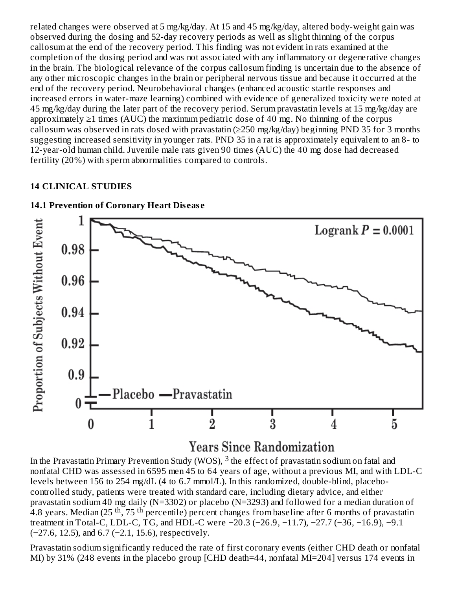related changes were observed at 5 mg/kg/day. At 15 and 45 mg/kg/day, altered body-weight gain was observed during the dosing and 52-day recovery periods as well as slight thinning of the corpus callosum at the end of the recovery period. This finding was not evident in rats examined at the completion of the dosing period and was not associated with any inflammatory or degenerative changes in the brain. The biological relevance of the corpus callosum finding is uncertain due to the absence of any other microscopic changes in the brain or peripheral nervous tissue and because it occurred at the end of the recovery period. Neurobehavioral changes (enhanced acoustic startle responses and increased errors in water-maze learning) combined with evidence of generalized toxicity were noted at 45 mg/kg/day during the later part of the recovery period. Serum pravastatin levels at 15 mg/kg/day are approximately  $\geq 1$  times (AUC) the maximum pediatric dose of 40 mg. No thinning of the corpus callosum was observed in rats dosed with pravastatin ( $\geq$ 250 mg/kg/day) beginning PND 35 for 3 months suggesting increased sensitivity in younger rats. PND 35 in a rat is approximately equivalent to an 8- to 12-year-old human child. Juvenile male rats given 90 times (AUC) the 40 mg dose had decreased fertility (20%) with sperm abnormalities compared to controls.

#### **14 CLINICAL STUDIES**



#### **14.1 Prevention of Coronary Heart Dis eas e**

# **Years Since Randomization**

In the Pravastatin Primary Prevention Study (WOS),  $^3$  the effect of pravastatin sodium on fatal and nonfatal CHD was assessed in 6595 men 45 to 64 years of age, without a previous MI, and with LDL-C levels between 156 to 254 mg/dL (4 to 6.7 mmol/L). In this randomized, double-blind, placebocontrolled study, patients were treated with standard care, including dietary advice, and either pravastatin sodium 40 mg daily (N=3302) or placebo (N=3293) and followed for a median duration of 4.8 years. Median (25 <sup>th</sup>, 75 <sup>th</sup> percentile) percent changes from baseline after 6 months of pravastatin treatment in Total-C, LDL-C, TG, and HDL-C were −20.3 (−26.9, −11.7), −27.7 (−36, −16.9), −9.1 (−27.6, 12.5), and 6.7 (−2.1, 15.6), respectively.

Pravastatin sodium significantly reduced the rate of first coronary events (either CHD death or nonfatal MI) by 31% (248 events in the placebo group [CHD death=44, nonfatal MI=204] versus 174 events in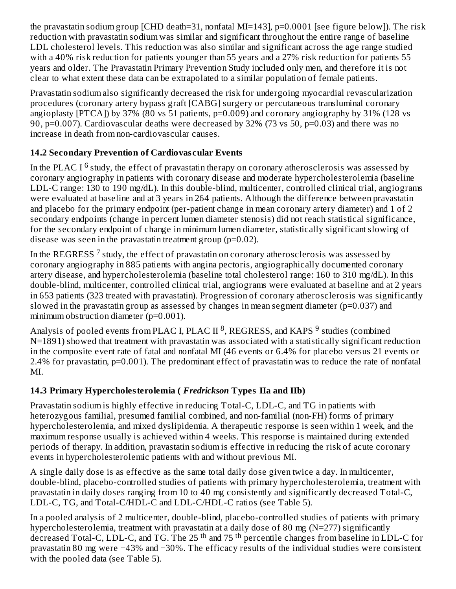the pravastatin sodium group [CHD death=31, nonfatal MI=143], p=0.0001 [see figure below]). The risk reduction with pravastatin sodium was similar and significant throughout the entire range of baseline LDL cholesterol levels. This reduction was also similar and significant across the age range studied with a 40% risk reduction for patients younger than 55 years and a 27% risk reduction for patients 55 years and older. The Pravastatin Primary Prevention Study included only men, and therefore it is not clear to what extent these data can be extrapolated to a similar population of female patients.

Pravastatin sodium also significantly decreased the risk for undergoing myocardial revascularization procedures (coronary artery bypass graft [CABG] surgery or percutaneous transluminal coronary angioplasty  $[PTCA]$ ) by 37% (80 vs 51 patients,  $p=0.009$ ) and coronary angiography by 31% (128 vs 90, p=0.007). Cardiovascular deaths were decreased by 32% (73 vs 50, p=0.03) and there was no increase in death from non-cardiovascular causes.

## **14.2 Secondary Prevention of Cardiovas cular Events**

In the PLAC I  $^6$  study, the effect of pravastatin therapy on coronary atherosclerosis was assessed by coronary angiography in patients with coronary disease and moderate hypercholesterolemia (baseline LDL-C range: 130 to 190 mg/dL). In this double-blind, multicenter, controlled clinical trial, angiograms were evaluated at baseline and at 3 years in 264 patients. Although the difference between pravastatin and placebo for the primary endpoint (per-patient change in mean coronary artery diameter) and 1 of 2 secondary endpoints (change in percent lumen diameter stenosis) did not reach statistical significance, for the secondary endpoint of change in minimum lumen diameter, statistically significant slowing of disease was seen in the pravastatin treatment group  $(p=0.02)$ .

In the REGRESS  $^7$  study, the effect of pravastatin on coronary atherosclerosis was assessed by coronary angiography in 885 patients with angina pectoris, angiographically documented coronary artery disease, and hypercholesterolemia (baseline total cholesterol range: 160 to 310 mg/dL). In this double-blind, multicenter, controlled clinical trial, angiograms were evaluated at baseline and at 2 years in 653 patients (323 treated with pravastatin). Progression of coronary atherosclerosis was significantly slowed in the pravastatin group as assessed by changes in mean segment diameter ( $p=0.037$ ) and minimum obstruction diameter (p=0.001).

Analysis of pooled events from PLAC I, PLAC II <sup>8</sup>, REGRESS, and KAPS <sup>9</sup> studies (combined N=1891) showed that treatment with pravastatin was associated with a statistically significant reduction in the composite event rate of fatal and nonfatal MI (46 events or 6.4% for placebo versus 21 events or 2.4% for pravastatin, p=0.001). The predominant effect of pravastatin was to reduce the rate of nonfatal MI.

## **14.3 Primary Hypercholesterolemia (** *Fredrickson* **Types IIa and IIb)**

Pravastatin sodium is highly effective in reducing Total-C, LDL-C, and TG in patients with heterozygous familial, presumed familial combined, and non-familial (non-FH) forms of primary hypercholesterolemia, and mixed dyslipidemia. A therapeutic response is seen within 1 week, and the maximum response usually is achieved within 4 weeks. This response is maintained during extended periods of therapy. In addition, pravastatin sodium is effective in reducing the risk of acute coronary events in hypercholesterolemic patients with and without previous MI.

A single daily dose is as effective as the same total daily dose given twice a day. In multicenter, double-blind, placebo-controlled studies of patients with primary hypercholesterolemia, treatment with pravastatin in daily doses ranging from 10 to 40 mg consistently and significantly decreased Total-C, LDL-C, TG, and Total-C/HDL-C and LDL-C/HDL-C ratios (see Table 5).

In a pooled analysis of 2 multicenter, double-blind, placebo-controlled studies of patients with primary hypercholesterolemia, treatment with pravastatin at a daily dose of 80 mg (N=277) significantly decreased Total-C, LDL-C, and TG. The 25<sup>th</sup> and 75<sup>th</sup> percentile changes from baseline in LDL-C for pravastatin 80 mg were −43% and −30%. The efficacy results of the individual studies were consistent with the pooled data (see Table 5).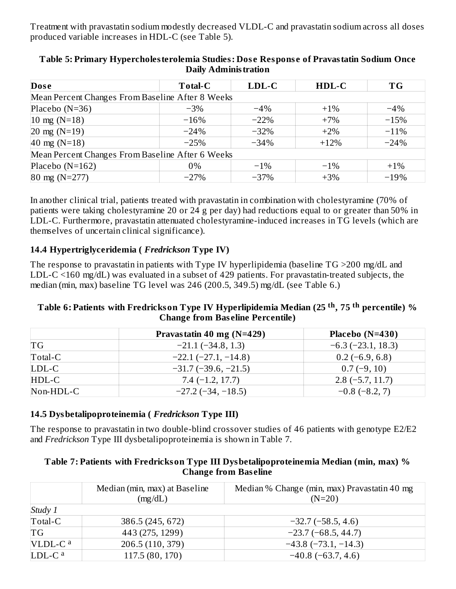Treatment with pravastatin sodium modestly decreased VLDL-C and pravastatin sodium across all doses produced variable increases in HDL-C (see Table 5).

| <b>Dose</b>                                      | <b>Total-C</b>                                   | $LDL-C$ | HDL-C  | <b>TG</b> |  |  |
|--------------------------------------------------|--------------------------------------------------|---------|--------|-----------|--|--|
|                                                  | Mean Percent Changes From Baseline After 8 Weeks |         |        |           |  |  |
| Placebo $(N=36)$                                 | $-3\%$                                           | $-4\%$  | $+1\%$ | $-4\%$    |  |  |
| $10 \text{ mg} (N=18)$                           | $-16%$                                           | $-22%$  | $+7%$  | $-15%$    |  |  |
| $20 \text{ mg} (N=19)$                           | $-24%$                                           | $-32%$  | $+2\%$ | $-11%$    |  |  |
| 40 mg (N=18)                                     | $-25%$                                           | $-34%$  | $+12%$ | $-24%$    |  |  |
| Mean Percent Changes From Baseline After 6 Weeks |                                                  |         |        |           |  |  |
| Placebo $(N=162)$                                | 0%                                               | $-1\%$  | $-1\%$ | $+1\%$    |  |  |
| $80 \text{ mg}$ (N=277)                          | $-27%$                                           | $-37%$  | $+3%$  | $-19%$    |  |  |

### **Table 5: Primary Hypercholesterolemia Studies: Dos e Respons e of Pravastatin Sodium Once Daily Administration**

In another clinical trial, patients treated with pravastatin in combination with cholestyramine (70% of patients were taking cholestyramine 20 or 24 g per day) had reductions equal to or greater than 50% in LDL-C. Furthermore, pravastatin attenuated cholestyramine-induced increases in TG levels (which are themselves of uncertain clinical significance).

### **14.4 Hypertriglyceridemia (** *Fredrickson* **Type IV)**

The response to pravastatin in patients with Type IV hyperlipidemia (baseline TG >200 mg/dL and LDL-C <160 mg/dL) was evaluated in a subset of 429 patients. For pravastatin-treated subjects, the median (min, max) baseline TG level was 246 (200.5, 349.5) mg/dL (see Table 6.)

#### **Table 6: Patients with Fredrickson Type IV Hyperlipidemia Median (25 , 75 percentile) % th th Change from Bas eline Percentile)**

|           | Pravastatin 40 mg (N=429) | Placebo $(N=430)$   |
|-----------|---------------------------|---------------------|
| <b>TG</b> | $-21.1(-34.8, 1.3)$       | $-6.3(-23.1, 18.3)$ |
| Total-C   | $-22.1 (-27.1, -14.8)$    | $0.2$ (-6.9, 6.8)   |
| LDL-C     | $-31.7(-39.6, -21.5)$     | $0.7(-9, 10)$       |
| HDL-C     | $7.4(-1.2, 17.7)$         | $2.8(-5.7, 11.7)$   |
| Non-HDL-C | $-27.2$ ( $-34, -18.5$ )  | $-0.8$ (-8.2, 7)    |

### **14.5 Dysbetalipoproteinemia (** *Fredrickson* **Type III)**

The response to pravastatin in two double-blind crossover studies of 46 patients with genotype E2/E2 and *Fredrickson* Type III dysbetalipoproteinemia is shown in Table 7.

#### **Table 7: Patients with Fredrickson Type III Dysbetalipoproteinemia Median (min, max) % Change from Bas eline**

|                     | Median (min, max) at Baseline | Median % Change (min, max) Pravastatin 40 mg |
|---------------------|-------------------------------|----------------------------------------------|
|                     | (mg/dL)                       | $(N=20)$                                     |
| Study 1             |                               |                                              |
| Total-C             | 386.5 (245, 672)              | $-32.7(-58.5, 4.6)$                          |
| TG                  | 443 (275, 1299)               | $-23.7(-68.5, 44.7)$                         |
| VLDL-C <sup>a</sup> | 206.5 (110, 379)              | $-43.8$ ( $-73.1, -14.3$ )                   |
| LDL-C <sup>a</sup>  | 117.5 (80, 170)               | $-40.8$ ( $-63.7, 4.6$ )                     |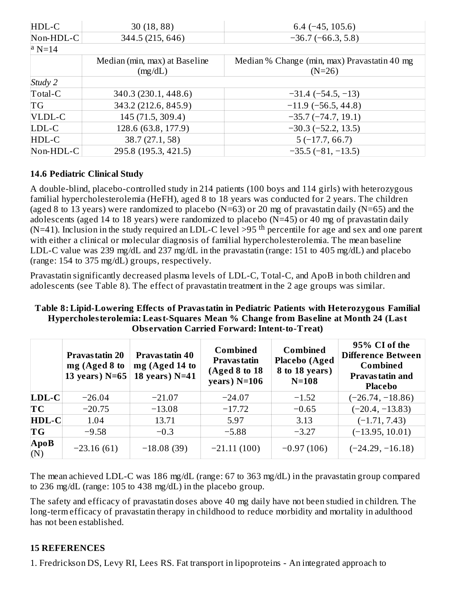| HDL-C     | 30(18, 88)                               | $6.4$ (-45, 105.6)                                       |
|-----------|------------------------------------------|----------------------------------------------------------|
| Non-HDL-C | 344.5 (215, 646)                         | $-36.7(-66.3, 5.8)$                                      |
| $ a N=14$ |                                          |                                                          |
|           | Median (min, max) at Baseline<br>(mg/dL) | Median % Change (min, max) Pravastatin 40 mg<br>$(N=26)$ |
| Study 2   |                                          |                                                          |
| Total-C   | 340.3 (230.1, 448.6)                     | $-31.4(-54.5,-13)$                                       |
| TG        | 343.2 (212.6, 845.9)                     | $-11.9$ (-56.5, 44.8)                                    |
| VLDL-C    | 145 (71.5, 309.4)                        | $-35.7(-74.7, 19.1)$                                     |
| LDL-C     | 128.6 (63.8, 177.9)                      | $-30.3(-52.2, 13.5)$                                     |
| HDL-C     | 38.7 (27.1, 58)                          | $5(-17.7, 66.7)$                                         |
| Non-HDL-C | 295.8 (195.3, 421.5)                     | $-35.5(-81, -13.5)$                                      |

### **14.6 Pediatric Clinical Study**

A double-blind, placebo-controlled study in 214 patients (100 boys and 114 girls) with heterozygous familial hypercholesterolemia (HeFH), aged 8 to 18 years was conducted for 2 years. The children (aged 8 to 13 years) were randomized to placebo ( $N=63$ ) or 20 mg of pravastatin daily ( $N=65$ ) and the adolescents (aged 14 to 18 years) were randomized to placebo ( $N=45$ ) or 40 mg of pravastatin daily (N=41). Inclusion in the study required an LDL-C level >95<sup>th</sup> percentile for age and sex and one parent with either a clinical or molecular diagnosis of familial hypercholesterolemia. The mean baseline LDL-C value was 239 mg/dL and 237 mg/dL in the pravastatin (range: 151 to 405 mg/dL) and placebo (range: 154 to 375 mg/dL) groups, respectively.

Pravastatin significantly decreased plasma levels of LDL-C, Total-C, and ApoB in both children and adolescents (see Table 8). The effect of pravastatin treatment in the 2 age groups was similar.

| Table 8: Lipid-Lowering Effects of Pravastatin in Pediatric Patients with Heterozygous Familial |  |
|-------------------------------------------------------------------------------------------------|--|
| Hypercholesterolemia: Least-Squares Mean % Change from Baseline at Month 24 (Last               |  |
| <b>Observation Carried Forward: Intent-to-Treat)</b>                                            |  |

|                    | <b>Pravastatin 20</b><br>mg (Aged 8 to<br>13 years) $N=65$ | Pravastatin 40<br>mg (Aged 14 to<br>18 years) $N=41$ | <b>Combined</b><br>Pravas tatin<br>(Aged 8 to 18<br>years) $N=106$ | <b>Combined</b><br><b>Placebo</b> (Aged<br>8 to 18 years)<br>$N=108$ | 95% CI of the<br><b>Difference Between</b><br><b>Combined</b><br><b>Pravastatin and</b><br><b>Placebo</b> |
|--------------------|------------------------------------------------------------|------------------------------------------------------|--------------------------------------------------------------------|----------------------------------------------------------------------|-----------------------------------------------------------------------------------------------------------|
| $LDL-C$            | $-26.04$                                                   | $-21.07$                                             | $-24.07$                                                           | $-1.52$                                                              | $(-26.74, -18.86)$                                                                                        |
| TC                 | $-20.75$                                                   | $-13.08$                                             | $-17.72$                                                           | $-0.65$                                                              | $(-20.4, -13.83)$                                                                                         |
| HDL-C              | 1.04                                                       | 13.71                                                | 5.97                                                               | 3.13                                                                 | $(-1.71, 7.43)$                                                                                           |
| ТG                 | $-9.58$                                                    | $-0.3$                                               | $-5.88$                                                            | $-3.27$                                                              | $(-13.95, 10.01)$                                                                                         |
| $\bf{ApoB}$<br>(N) | $-23.16(61)$                                               | $-18.08(39)$                                         | $-21.11(100)$                                                      | $-0.97(106)$                                                         | $(-24.29, -16.18)$                                                                                        |

The mean achieved LDL-C was 186 mg/dL (range: 67 to 363 mg/dL) in the pravastatin group compared to 236 mg/dL (range: 105 to 438 mg/dL) in the placebo group.

The safety and efficacy of pravastatin doses above 40 mg daily have not been studied in children. The long-term efficacy of pravastatin therapy in childhood to reduce morbidity and mortality in adulthood has not been established.

### **15 REFERENCES**

1. Fredrickson DS, Levy RI, Lees RS. Fat transport in lipoproteins - An integrated approach to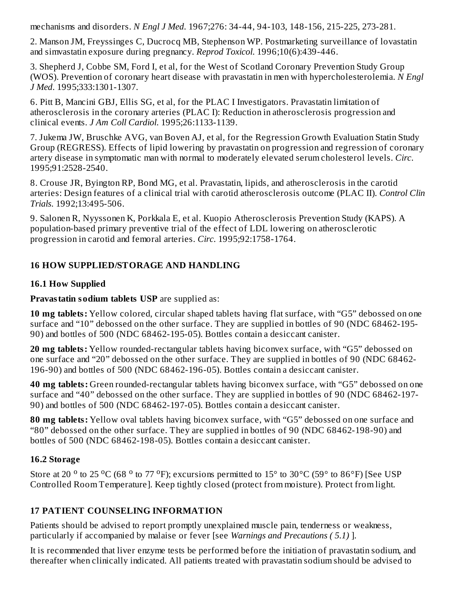mechanisms and disorders. *N Engl J Med*. 1967;276: 34-44, 94-103, 148-156, 215-225, 273-281.

2. Manson JM, Freyssinges C, Ducrocq MB, Stephenson WP. Postmarketing surveillance of lovastatin and simvastatin exposure during pregnancy. *Reprod Toxicol*. 1996;10(6):439-446.

3. Shepherd J, Cobbe SM, Ford I, et al, for the West of Scotland Coronary Prevention Study Group (WOS). Prevention of coronary heart disease with pravastatin in men with hypercholesterolemia. *N Engl J Med*. 1995;333:1301-1307.

6. Pitt B, Mancini GBJ, Ellis SG, et al, for the PLAC I Investigators. Pravastatin limitation of atherosclerosis in the coronary arteries (PLAC I): Reduction in atherosclerosis progression and clinical events. *J Am Coll Cardiol*. 1995;26:1133-1139.

7. Jukema JW, Bruschke AVG, van Boven AJ, et al, for the Regression Growth Evaluation Statin Study Group (REGRESS). Effects of lipid lowering by pravastatin on progression and regression of coronary artery disease in symptomatic man with normal to moderately elevated serum cholesterol levels. *Circ*. 1995;91:2528-2540.

8. Crouse JR, Byington RP, Bond MG, et al. Pravastatin, lipids, and atherosclerosis in the carotid arteries: Design features of a clinical trial with carotid atherosclerosis outcome (PLAC II). *Control Clin Trials*. 1992;13:495-506.

9. Salonen R, Nyyssonen K, Porkkala E, et al. Kuopio Atherosclerosis Prevention Study (KAPS). A population-based primary preventive trial of the effect of LDL lowering on atherosclerotic progression in carotid and femoral arteries. *Circ*. 1995;92:1758-1764.

### **16 HOW SUPPLIED/STORAGE AND HANDLING**

### **16.1 How Supplied**

### **Pravastatin sodium tablets USP** are supplied as:

**10 mg tablets:** Yellow colored, circular shaped tablets having flat surface, with "G5" debossed on one surface and "10" debossed on the other surface. They are supplied in bottles of 90 (NDC 68462-195- 90) and bottles of 500 (NDC 68462-195-05). Bottles contain a desiccant canister.

**20 mg tablets:** Yellow rounded-rectangular tablets having biconvex surface, with "G5" debossed on one surface and "20" debossed on the other surface. They are supplied in bottles of 90 (NDC 68462- 196-90) and bottles of 500 (NDC 68462-196-05). Bottles contain a desiccant canister.

**40 mg tablets:** Green rounded-rectangular tablets having biconvex surface, with "G5" debossed on one surface and "40" debossed on the other surface. They are supplied in bottles of 90 (NDC 68462-197- 90) and bottles of 500 (NDC 68462-197-05). Bottles contain a desiccant canister.

**80 mg tablets:** Yellow oval tablets having biconvex surface, with "G5" debossed on one surface and "80" debossed on the other surface. They are supplied in bottles of 90 (NDC 68462-198-90) and bottles of 500 (NDC 68462-198-05). Bottles contain a desiccant canister.

### **16.2 Storage**

Store at 20<sup>o</sup> to 25<sup>o</sup>C (68<sup>o</sup> to 77<sup>o</sup>F); excursions permitted to 15<sup>o</sup> to 30<sup>o</sup>C (59<sup>o</sup> to 86<sup>o</sup>F) [See USP Controlled Room Temperature]. Keep tightly closed (protect from moisture). Protect from light.

### **17 PATIENT COUNSELING INFORMATION**

Patients should be advised to report promptly unexplained muscle pain, tenderness or weakness, particularly if accompanied by malaise or fever [see *Warnings and Precautions ( 5.1)* ].

It is recommended that liver enzyme tests be performed before the initiation of pravastatin sodium, and thereafter when clinically indicated. All patients treated with pravastatin sodium should be advised to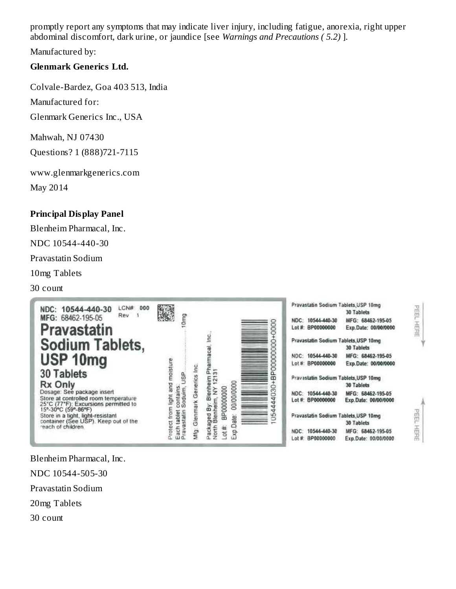promptly report any symptoms that may indicate liver injury, including fatigue, anorexia, right upper abdominal discomfort, dark urine, or jaundice [see *Warnings and Precautions ( 5.2)* ].

Manufactured by:

### **Glenmark Generics Ltd.**

Colvale-Bardez, Goa 403 513, India

Manufactured for:

Glenmark Generics Inc., USA

Mahwah, NJ 07430 Questions? 1 (888)721-7115

www.glenmarkgenerics.com

May 2014

### **Principal Display Panel**

Blenheim Pharmacal, Inc.

NDC 10544-440-30

Pravastatin Sodium

10mg Tablets

30 count



Blenheim Pharmacal, Inc. NDC 10544-505-30 Pravastatin Sodium

20mg Tablets

30 count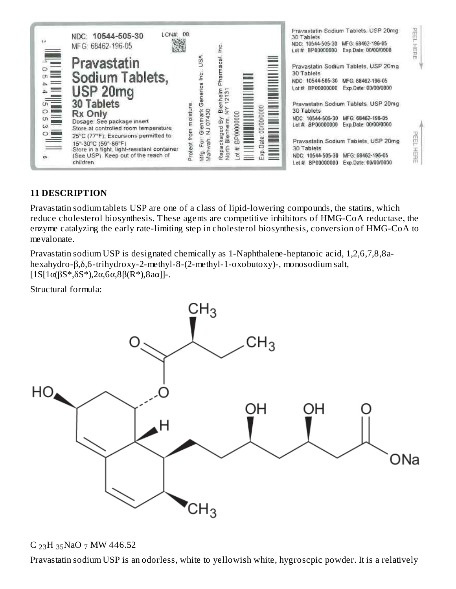

### **11 DESCRIPTION**

Pravastatin sodium tablets USP are one of a class of lipid-lowering compounds, the statins, which reduce cholesterol biosynthesis. These agents are competitive inhibitors of HMG-CoA reductase, the enzyme catalyzing the early rate-limiting step in cholesterol biosynthesis, conversion of HMG-CoA to mevalonate.

Pravastatin sodium USP is designated chemically as 1-Naphthalene-heptanoic acid, 1,2,6,7,8,8ahexahydro-β,δ,6-trihydroxy-2-methyl-8-(2-methyl-1-oxobutoxy)-, monosodium salt,  $[1S[1\alpha(\beta S*,\delta S^*)]$ ,2α,6α,8β(R\*),8aα]]-.

Structural formula:



 $C_{23}H_{35}NaO_7$  MW 446.52

Pravastatin sodium USP is an odorless, white to yellowish white, hygroscpic powder. It is a relatively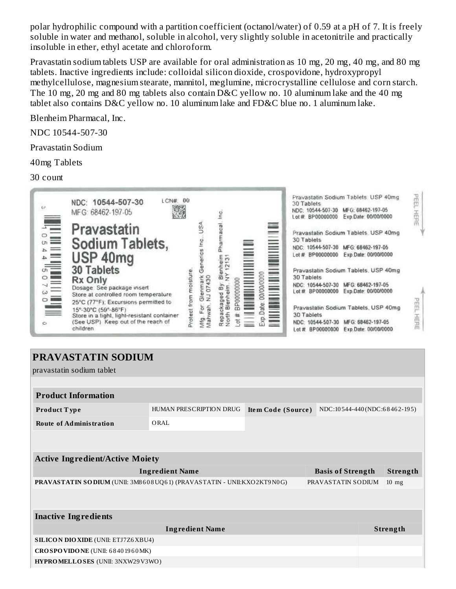polar hydrophilic compound with a partition coefficient (octanol/water) of 0.59 at a pH of 7. It is freely soluble in water and methanol, soluble in alcohol, very slightly soluble in acetonitrile and practically insoluble in ether, ethyl acetate and chloroform.

Pravastatin sodium tablets USP are available for oral administration as 10 mg, 20 mg, 40 mg, and 80 mg tablets. Inactive ingredients include: colloidal silicon dioxide, crospovidone, hydroxypropyl methylcellulose, magnesium stearate, mannitol, meglumine, microcrystalline cellulose and corn starch. The 10 mg, 20 mg and 80 mg tablets also contain D&C yellow no. 10 aluminum lake and the 40 mg tablet also contains D&C yellow no. 10 aluminum lake and FD&C blue no. 1 aluminum lake.

Blenheim Pharmacal, Inc.

NDC 10544-507-30

Pravastatin Sodium

40mg Tablets

30 count



# **PRAVASTATIN SODIUM**

pravastatin sodium tablet

| <b>Product Information</b>                                                                                         |                                                                               |  |  |  |  |  |  |  |
|--------------------------------------------------------------------------------------------------------------------|-------------------------------------------------------------------------------|--|--|--|--|--|--|--|
| <b>Product Type</b>                                                                                                | NDC:10544-440(NDC:68462-195)<br>HUMAN PRESCRIPTION DRUG<br>Item Code (Source) |  |  |  |  |  |  |  |
| <b>Route of Administration</b>                                                                                     | ORAL                                                                          |  |  |  |  |  |  |  |
|                                                                                                                    |                                                                               |  |  |  |  |  |  |  |
|                                                                                                                    |                                                                               |  |  |  |  |  |  |  |
| <b>Active Ingredient/Active Moiety</b>                                                                             |                                                                               |  |  |  |  |  |  |  |
| <b>Ingredient Name</b><br><b>Basis of Strength</b><br><b>Strength</b>                                              |                                                                               |  |  |  |  |  |  |  |
| PRAVASTATIN SO DIUM (UNII: 3M8 608 UQ61) (PRAVASTATIN - UNII:KXO2KT9 N0G)<br>PRAVASTATIN SODIUM<br>$10 \text{ mg}$ |                                                                               |  |  |  |  |  |  |  |
|                                                                                                                    |                                                                               |  |  |  |  |  |  |  |
|                                                                                                                    |                                                                               |  |  |  |  |  |  |  |
| <b>Inactive Ingredients</b>                                                                                        |                                                                               |  |  |  |  |  |  |  |
| <b>Ingredient Name</b><br><b>Strength</b>                                                                          |                                                                               |  |  |  |  |  |  |  |
| <b>SILICON DIO XIDE (UNII: ETJ7Z6 XBU4)</b>                                                                        |                                                                               |  |  |  |  |  |  |  |
| CROSPOVIDONE (UNII: 68401960MK)                                                                                    |                                                                               |  |  |  |  |  |  |  |
| <b>HYPROMELLOSES</b> (UNII: 3NXW29V3WO)                                                                            |                                                                               |  |  |  |  |  |  |  |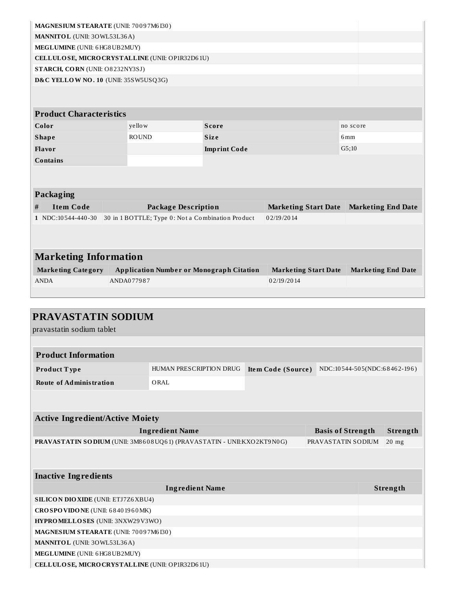| MAGNESIUM STEARATE (UNII: 70097M6I30) |                                 |  |                                                   |  |                                                 |  |                             |                           |  |
|---------------------------------------|---------------------------------|--|---------------------------------------------------|--|-------------------------------------------------|--|-----------------------------|---------------------------|--|
| MANNITOL (UNII: 30WL53L36A)           |                                 |  |                                                   |  |                                                 |  |                             |                           |  |
|                                       | MEGLUMINE (UNII: 6 HG8 UB2MUY)  |  |                                                   |  |                                                 |  |                             |                           |  |
|                                       |                                 |  | CELLULOSE, MICRO CRYSTALLINE (UNII: OP1R32D61U)   |  |                                                 |  |                             |                           |  |
|                                       | STARCH, CORN (UNII: O8232NY3SJ) |  |                                                   |  |                                                 |  |                             |                           |  |
|                                       |                                 |  | D&C YELLOW NO. 10 (UNII: 35SW5USQ3G)              |  |                                                 |  |                             |                           |  |
|                                       |                                 |  |                                                   |  |                                                 |  |                             |                           |  |
|                                       |                                 |  |                                                   |  |                                                 |  |                             |                           |  |
|                                       | <b>Product Characteristics</b>  |  |                                                   |  |                                                 |  |                             |                           |  |
| Color                                 |                                 |  | yello w                                           |  | <b>Score</b>                                    |  |                             | no score                  |  |
| <b>Shape</b>                          |                                 |  | <b>ROUND</b>                                      |  | <b>Size</b>                                     |  |                             | 6mm                       |  |
| Flavor                                |                                 |  |                                                   |  | <b>Imprint Code</b>                             |  |                             | G5:10                     |  |
| <b>Contains</b>                       |                                 |  |                                                   |  |                                                 |  |                             |                           |  |
|                                       |                                 |  |                                                   |  |                                                 |  |                             |                           |  |
|                                       |                                 |  |                                                   |  |                                                 |  |                             |                           |  |
| Packaging                             |                                 |  |                                                   |  |                                                 |  |                             |                           |  |
| #                                     | <b>Item Code</b>                |  | <b>Package Description</b>                        |  |                                                 |  | <b>Marketing Start Date</b> | <b>Marketing End Date</b> |  |
|                                       | $1$ NDC: 10 544-440-30          |  | 30 in 1 BOTTLE; Type 0: Not a Combination Product |  |                                                 |  | 02/19/2014                  |                           |  |
|                                       |                                 |  |                                                   |  |                                                 |  |                             |                           |  |
|                                       |                                 |  |                                                   |  |                                                 |  |                             |                           |  |
| <b>Marketing Information</b>          |                                 |  |                                                   |  |                                                 |  |                             |                           |  |
|                                       |                                 |  |                                                   |  |                                                 |  |                             |                           |  |
|                                       | <b>Marketing Category</b>       |  |                                                   |  | <b>Application Number or Monograph Citation</b> |  | <b>Marketing Start Date</b> | <b>Marketing End Date</b> |  |
| <b>ANDA</b>                           |                                 |  | ANDA077987                                        |  |                                                 |  | 02/19/2014                  |                           |  |
|                                       |                                 |  |                                                   |  |                                                 |  |                             |                           |  |

| PRAVASTATIN SODIUM                                                                                     |                                 |                    |                              |  |          |  |  |
|--------------------------------------------------------------------------------------------------------|---------------------------------|--------------------|------------------------------|--|----------|--|--|
| pravastatin sodium tablet                                                                              |                                 |                    |                              |  |          |  |  |
|                                                                                                        |                                 |                    |                              |  |          |  |  |
| <b>Product Information</b>                                                                             |                                 |                    |                              |  |          |  |  |
| Product Type                                                                                           | <b>HUMAN PRESCRIPTION DRUG</b>  | Item Code (Source) | NDC:10544-505(NDC:68462-196) |  |          |  |  |
| <b>Route of Administration</b>                                                                         |                                 |                    |                              |  |          |  |  |
|                                                                                                        |                                 |                    |                              |  |          |  |  |
|                                                                                                        |                                 |                    |                              |  |          |  |  |
| <b>Active Ingredient/Active Moiety</b>                                                                 |                                 |                    |                              |  |          |  |  |
| <b>Ingredient Name</b><br>Strength<br><b>Basis of Strength</b>                                         |                                 |                    |                              |  |          |  |  |
| PRAVASTATIN SODIUM (UNII: 3M8608UQ61) (PRAVASTATIN - UNII:KXO2KT9N0G)<br>PRAVASTATIN SODIUM<br>$20$ mg |                                 |                    |                              |  |          |  |  |
|                                                                                                        |                                 |                    |                              |  |          |  |  |
| <b>Inactive Ingredients</b>                                                                            |                                 |                    |                              |  |          |  |  |
|                                                                                                        | <b>Ingredient Name</b>          |                    |                              |  | Strength |  |  |
| <b>SILICON DIO XIDE (UNII: ETJ7Z6 XBU4)</b>                                                            |                                 |                    |                              |  |          |  |  |
|                                                                                                        | CROSPOVIDONE (UNII: 68401960MK) |                    |                              |  |          |  |  |
| HYPROMELLOSES (UNII: 3NXW29V3WO)                                                                       |                                 |                    |                              |  |          |  |  |
| MAGNESIUM STEARATE (UNII: 70097M6I30)                                                                  |                                 |                    |                              |  |          |  |  |
| MANNITOL (UNII: 30WL53L36A)                                                                            |                                 |                    |                              |  |          |  |  |
| MEGLUMINE (UNII: 6 HG8 UB2MUY)                                                                         |                                 |                    |                              |  |          |  |  |
| CELLULOSE, MICRO CRYSTALLINE (UNII: OP1R32D61U)                                                        |                                 |                    |                              |  |          |  |  |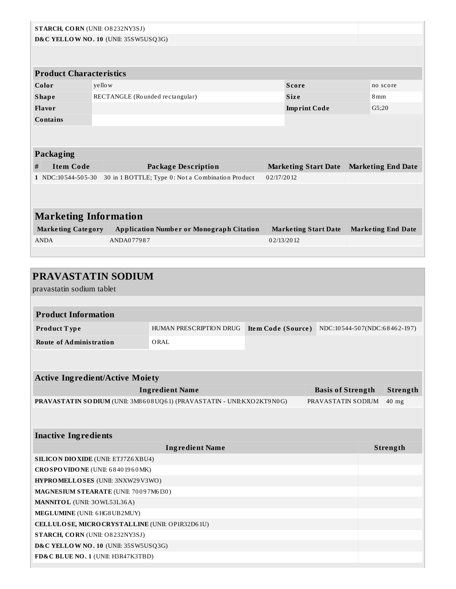|                              | STARCH, CORN (UNII: O8232NY3SJ)      |         |                                                   |            |                             |  |                           |  |  |
|------------------------------|--------------------------------------|---------|---------------------------------------------------|------------|-----------------------------|--|---------------------------|--|--|
|                              | D&C YELLOW NO. 10 (UNII: 35SW5USQ3G) |         |                                                   |            |                             |  |                           |  |  |
|                              |                                      |         |                                                   |            |                             |  |                           |  |  |
|                              | <b>Product Characteristics</b>       |         |                                                   |            |                             |  |                           |  |  |
|                              | Color                                | yello w |                                                   |            | <b>Score</b>                |  | no score                  |  |  |
|                              | <b>Shape</b>                         |         | RECTANGLE (Rounded rectangular)                   |            | <b>Size</b>                 |  | 8mm                       |  |  |
|                              | Flavor                               |         |                                                   |            | <b>Imprint Code</b>         |  | G5;20                     |  |  |
|                              | Contains                             |         |                                                   |            |                             |  |                           |  |  |
|                              |                                      |         |                                                   |            |                             |  |                           |  |  |
|                              | Packaging                            |         |                                                   |            |                             |  |                           |  |  |
| #                            | <b>Item Code</b>                     |         | <b>Package Description</b>                        |            | <b>Marketing Start Date</b> |  | <b>Marketing End Date</b> |  |  |
|                              | 1 NDC:10544-505-30                   |         | 30 in 1 BOTTLE; Type 0: Not a Combination Product | 02/17/2012 |                             |  |                           |  |  |
|                              |                                      |         |                                                   |            |                             |  |                           |  |  |
|                              |                                      |         |                                                   |            |                             |  |                           |  |  |
| <b>Marketing Information</b> |                                      |         |                                                   |            |                             |  |                           |  |  |
|                              | <b>Marketing Category</b>            |         | <b>Application Number or Monograph Citation</b>   |            | <b>Marketing Start Date</b> |  | <b>Marketing End Date</b> |  |  |
|                              | <b>ANDA</b>                          |         | ANDA077987                                        |            | 02/13/2012                  |  |                           |  |  |
|                              |                                      |         |                                                   |            |                             |  |                           |  |  |

| <b>PRAVASTATIN SODIUM</b>                                                                            |                         |                    |                              |  |          |  |  |
|------------------------------------------------------------------------------------------------------|-------------------------|--------------------|------------------------------|--|----------|--|--|
| pravastatin sodium tablet                                                                            |                         |                    |                              |  |          |  |  |
|                                                                                                      |                         |                    |                              |  |          |  |  |
| <b>Product Information</b>                                                                           |                         |                    |                              |  |          |  |  |
| Product Type                                                                                         | HUMAN PRESCRIPTION DRUG | Item Code (Source) | NDC:10544-507(NDC:68462-197) |  |          |  |  |
| <b>Route of Administration</b>                                                                       | ORAL                    |                    |                              |  |          |  |  |
|                                                                                                      |                         |                    |                              |  |          |  |  |
|                                                                                                      |                         |                    |                              |  |          |  |  |
| <b>Active Ingredient/Active Moiety</b>                                                               |                         |                    |                              |  |          |  |  |
|                                                                                                      | <b>Ingredient Name</b>  |                    | <b>Basis of Strength</b>     |  | Strength |  |  |
| PRAVASTATIN SODIUM (UNII: 3M8608UQ61) (PRAVASTATIN - UNII:KXO2KT9N0G)<br>PRAVASTATIN SODIUM<br>40 mg |                         |                    |                              |  |          |  |  |
|                                                                                                      |                         |                    |                              |  |          |  |  |
|                                                                                                      |                         |                    |                              |  |          |  |  |
| <b>Inactive Ingredients</b>                                                                          |                         |                    |                              |  |          |  |  |
|                                                                                                      | <b>Ingredient Name</b>  |                    |                              |  | Strength |  |  |
| <b>SILICON DIO XIDE (UNII: ETJ7Z6 XBU4)</b>                                                          |                         |                    |                              |  |          |  |  |
| CROSPOVIDONE (UNII: 68401960MK)                                                                      |                         |                    |                              |  |          |  |  |
| HYPROMELLOSES (UNII: 3NXW29V3WO)                                                                     |                         |                    |                              |  |          |  |  |
| MAGNESIUM STEARATE (UNII: 70097M6I30)                                                                |                         |                    |                              |  |          |  |  |
| <b>MANNITOL</b> (UNII: 30WL53L36A)                                                                   |                         |                    |                              |  |          |  |  |
| MEGLUMINE (UNII: 6 HG8 UB2MUY)                                                                       |                         |                    |                              |  |          |  |  |
| CELLULOSE, MICRO CRYSTALLINE (UNII: OP1R32D61U)                                                      |                         |                    |                              |  |          |  |  |
| STARCH, CORN (UNII: O8232NY3SJ)                                                                      |                         |                    |                              |  |          |  |  |
| D&C YELLOW NO. 10 (UNII: 35SW5USQ3G)                                                                 |                         |                    |                              |  |          |  |  |
| FD&C BLUE NO. 1 (UNII: H3R47K3TBD)                                                                   |                         |                    |                              |  |          |  |  |